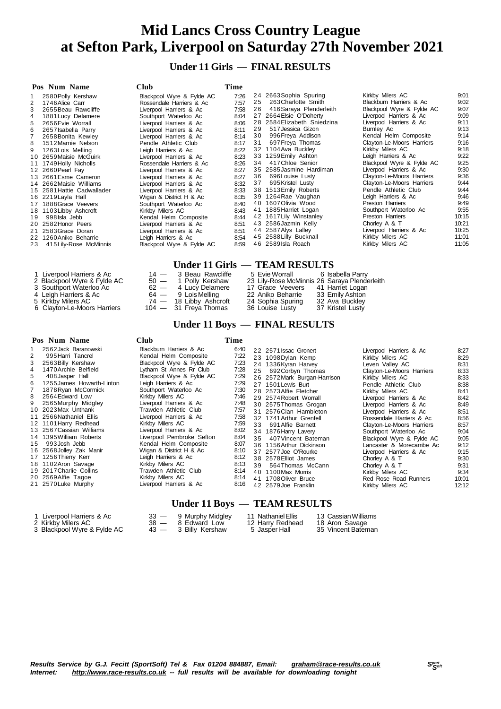**Under 11 Girls — FINAL RESULTS**

|    | Pos Num Name               | <b>Club</b>               | Time |    |                             |                           |       |
|----|----------------------------|---------------------------|------|----|-----------------------------|---------------------------|-------|
|    | 2580 Polly Kershaw         | Blackpool Wyre & Fylde AC | 7:26 |    | 24 2663 Sophia Spuring      | Kirkby Milers AC          | 9:01  |
| 2  | 1746 Alice Carr            | Rossendale Harriers & Ac  | 7:57 | 25 | 263 Charlotte Smith         | Blackburn Harriers & Ac   | 9:02  |
| 3  | 2655 Beau Rawcliffe        | Liverpool Harriers & Ac   | 7:58 | 26 | 416 Saraya Plenderleith     | Blackpool Wyre & Fylde AC | 9:07  |
|    | 1881 Lucy Delamere         | Southport Waterloo Ac     | 8:04 |    | 27 2664 Elsie O'Doherty     | Liverpool Harriers & Ac   | 9:09  |
| 5. | 2656 Evie Worrall          | Liverpool Harriers & Ac   | 8:06 |    | 28 2584 Elizabeth Sniedzina | Liverpool Harriers & Ac   | 9:11  |
| 6  | 2657 Isabella Parry        | Liverpool Harriers & Ac   | 8:11 | 29 | 517 Jessica Gizon           | Burnley Ac                | 9:13  |
|    | 2658 Bonita Kewley         | Liverpool Harriers & Ac   | 8:14 | 30 | 996 Freya Addison           | Kendal Helm Composite     | 9:14  |
| 8  | 1512 Marnie Nelson         | Pendle Athletic Club      | 8:17 | 31 | 697 Freya Thomas            | Clayton-Le-Moors Harriers | 9:16  |
|    | 1263 Lois Melling          | Leigh Harriers & Ac       | 8:22 |    | 32 1104 Ava Buckley         | Kirkby Milers AC          | 9:18  |
|    | 10 2659 Maisie McGuirk     | Liverpool Harriers & Ac   | 8:23 |    | 33 1259 Emily Ashton        | Leigh Harriers & Ac       | 9:22  |
| 11 | 1749 Holly Nicholls        | Rossendale Harriers & Ac  | 8:26 | 34 | 417 Chloe Senior            | Blackpool Wyre & Fylde AC | 9:25  |
|    | 12 2660 Pearl Fay          | Liverpool Harriers & Ac   | 8:27 |    | 35 2585 Jasmine Hardiman    | Liverpool Harriers & Ac   | 9:30  |
|    | 13 2661 Esme Cameron       | Liverpool Harriers & Ac   | 8:27 |    | 36 696 Louise Lusty         | Clayton-Le-Moors Harriers | 9:36  |
|    | 14 2662 Maisie Williams    | Liverpool Harriers & Ac   | 8:32 | 37 | 695 Kristel Lusty           | Clayton-Le-Moors Harriers | 9:44  |
|    | 15 2581 Hattie Cadwallader | Liverpool Harriers & Ac   | 8:33 |    | 38 1513 Emily Roberts       | Pendle Athletic Club      | 9:44  |
|    | 16 2219 Layla Hall         | Wigan & District H & Ac   | 8:35 |    | 39 1264 Rae Vaughan         | Leigh Harriers & Ac       | 9:46  |
| 17 | 1888 Grace Veevers         | Southport Waterloo Ac     | 8:40 |    | 40 1607 Olivia Wood         | <b>Preston Harriers</b>   | 9:49  |
| 18 | 1103 Libby Ashcroft        | Kirkby Milers AC          | 8:43 |    | 41 1885 Harriet Logan       | Southport Waterloo Ac     | 9:55  |
| 19 | 998 Isla Jebb              | Kendal Helm Composite     | 8:44 |    | 42 1617 Lily Winstanley     | Preston Harriers          | 10:15 |
|    | 20 2582 Honor Peers        | Liverpool Harriers & Ac   | 8:51 |    | 43 2586 Jazmin Kelly        | Chorley A & T             | 10:21 |
|    | 21 2583 Grace Doran        | Liverpool Harriers & Ac   | 8:51 |    | 44 2587 Alys Lalley         | Liverpool Harriers & Ac   | 10:25 |
|    | 22 1260 Aniko Beharrie     | Leigh Harriers & Ac       | 8:54 |    | 45 2588 Lilly Bucknall      | Kirkby Milers AC          | 11:01 |
| 23 | 415 Lily-Rose McMinnis     | Blackpool Wyre & Fylde AC | 8:59 |    | 46 2589 Isla Roach          | Kirkby Milers AC          | 11:05 |

### **Under 11 Girls — TEAM RESULTS**

| 1 Liverpool Harriers & Ac   | 14 — 3 Beau Rawcliffe   | 5 Evie Worrall 6 Isabella Parry              |                  |
|-----------------------------|-------------------------|----------------------------------------------|------------------|
| 2 Blackpool Wyre & Fylde AC | 50 - 1 Polly Kershaw    | 23 Lily-Rose McMinnis 26 Saraya Plenderleith |                  |
| 3 Southport Waterloo Ac     | $62 - 4$ Lucy Delamere  | 17 Grace Veevers 41 Harriet Logan            |                  |
| 4 Leigh Harriers & Ac       | 64 — 9 Lois Melling     | 22 Aniko Beharrie                            | 33 Emily Ashton  |
| 5  Kirkby Milers AC         | 74 — 18 Libby Ashcroft  | 24 Sophia Spuring                            | 32 Ava Buckley   |
| 6 Clayton-Le-Moors Harriers | $104 - 31$ Freya Thomas | 36 Louise Lusty                              | 37 Kristel Lusty |
|                             |                         |                                              |                  |

# **Under 11 Boys — FINAL RESULTS**

#### **Pos Num Name Club Time** 1 2562Jack Baranowski Blackburn Harriers & Ac 6:40 2 995Harri Tancrel Kendal Helm Composite 7:22 3 Blackpool Wyre & Fylde AC 7:23<br>Lytham St Annes Rr Club 7:28 4 1470Archie Belfield Lytham St Annes Rr Club 7:28 5 408Jasper Hall Blackpool Wyre & Fylde AC 7:29 1255James Howarth-Linton<br>16 1255James Howarth-Linton<br>16 16 16 16 16 16 17:29<br>1678Ryan McCormick<br>17:30 7 1878 Ryan McCormick Southport Waterloo Ac 7:30<br>8 2564 Fdward Low Kirkhy Milers AC 7:46 8 2564Edward Low Kirkby Milers AC 7:46 9 2565Murphy Midgley Liverpool Harriers & Ac 7:48<br>10 2023Max Unthank Trawden Athletic Club 7:57 1 2023 Max Unthank Trawden Athletic Club<br>1 1 2566 Nathaniel Ellis Civerpool Harriers & Ac 1 1 2566Nathaniel Ellis Liverpool Harriers & Ac 7:58 1101 Harry Redhead Kirkby Milers AC 7:59<br>2567 Cassian Williams Liverpool Harriers & Ac 8:02 1 3 2567Cassian Williams Liverpool Harriers & Ac 8:02 1 4 1395William Roberts Liverpool Pembroke Sefton 8:04 15 993 Josh Jebb **Kendal Helm Composite** 8:07<br>16 2568 Jolley Zak Manir **Kryan & District H & Ac** 8:10 16 2568Jolley Zak Manir Wigan & District H & 17 1256 Thierry Kerr Communisty Leigh Harriers & Ac 8:100 American Savage 1 7 1256Thierry Kerr Leigh Harriers & Ac 8:12 18 1102Aron Savage Kirkby Milers AC 8:13 19 2017 Charlie Collins Trawden Athletic Club 8:14<br>20 2569 Alfie Tagoe Kirkby Milers AC 8:14 20 2569Alfie Tagoe Kirkby Milers AC 8:14<br>21 2570Luke Murphy Liverpool Harriers & Ac 8:16 Liverpool Harriers & Ac 2 2571 Issac Gronert Liverpool Harriers & Ac 8:27<br>23 1098 Dylan Kemp Kirkby Milers AC 8:29 2 11 1098<br>22 12 1098 1098 1098 1098 1098 1098<br>231 1098 1099 1098 1099 1098 1099 1098 24 1336Kyran Harvey Leven Valley AC 8:31<br>25 692Corbyn Thomas Clayton-Le-Moors Harriers 8:33 Clayton-Le-Moors Harriers<br>Kirkby Milers AC 26 2572 Mark Burgan-Harrison Kirkby Milers AC 8:33<br>27 1501 Lewis Burt Pendle Athletic Club Pendle Athletic Club 8:38<br>Kirkby Milers AC 8:41 28 2573 Alfie Fletcher 29 2574 Robert Worrall Liverpool Harriers & Ac 8:42<br>20 2575 Thomas Grogan Liverpool Harriers & Ac 8:49 2 1 2575 Thomas Grogan Liverpool Harriers & Ac 8:49<br>31 2576 Cian Hambleton Liverpool Harriers & Ac 8:51 3 1 2576Cian Hambleton Liverpool Harriers & Ac 8:51 3 2 1741Arthur Grenfell Rossendale Harriers & Ac 8:56 Clayton-Le-Moors Harriers 8:57<br>Southport Waterloo Ac 9:04 34 1876 Harry Lavery **Southport Waterloo Ac** 9:04<br>35 407 Vincent Bateman Blackpool Wyre & Fylde AC 9:05 3 5 407Vincent Bateman Blackpool Wyre & Fylde AC 9:05 3 6 1156Arthur Dickinson Lancaster & Morecambe Ac 9:12 37 2577Joe O'Rourke Liverpool Harriers & Ac 9:15<br>38 2578Elliot James Chorley A & T 9:30 3 8 2578Elliot James Chorley A & T 9:30 3 9 564Thomas McCann Chorley A & T 9:31 4 0 1100Max Morris Kirkby Milers AC 9:34 4 1 1708Oliver Bruce Red Rose Road Runners 10:01 4 2 2579Joe Franklin Kirkby Milers AC 12:12  **Under 11 Boys — TEAM RESULTS**

#### 3 Blackpool Wyre & Fylde AC

1 Liverpool Harriers & Ac 33 - 9 Murphy Midgley 11 Nathaniel Ellis 13 Cassian Williams<br>2 Kirkby Milers AC 38 - 8 Edward Low 12 Harry Redhead 18 Aron Savage 2 Xirkby Miles Ac 38 — 8 Edward Low 12 Harry Redhead 18 Aron Savage<br>
43 — 3 Billy Kershaw 5 Jasper Hall 35 Vincent Bateman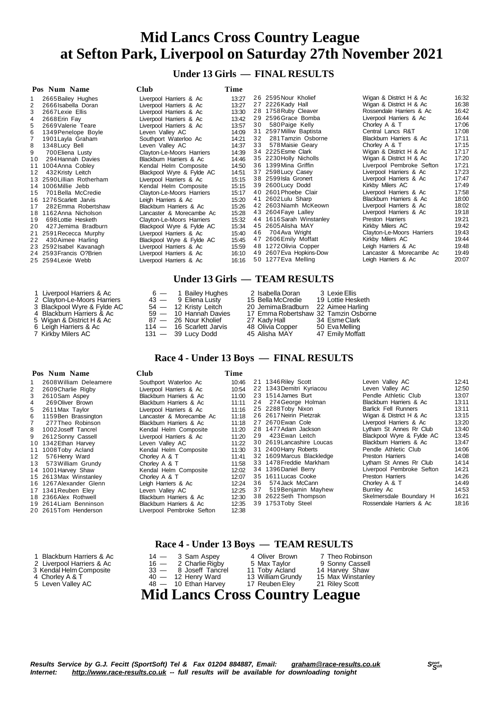**Under 13 Girls — FINAL RESULTS**

| Pos Num Name                 | <b>Club</b>               | Time  |    |                          |                           |       |
|------------------------------|---------------------------|-------|----|--------------------------|---------------------------|-------|
| 2665 Bailey Hughes           | Liverpool Harriers & Ac   | 13:27 |    | 26 2595 Nour Kholief     | Wigan & District H & Ac   | 16:32 |
| 2<br>2666 Isabella Doran     | Liverpool Harriers & Ac   | 13:27 |    | 27 2226 Kady Hall        | Wigan & District H & Ac   | 16:38 |
| 3<br>2667 Lexie Ellis        | Liverpool Harriers & Ac   | 13:30 |    | 28 1758 Ruby Cleaver     | Rossendale Harriers & Ac  | 16:42 |
| 2668 Erin Fay<br>4           | Liverpool Harriers & Ac   | 13:42 |    | 29 2596 Grace Bomba      | Liverpool Harriers & Ac   | 16:44 |
| 5<br>2669 Valerie Teare      | Liverpool Harriers & Ac   | 13:57 | 30 | 580 Paige Kelly          | Chorley A & T             | 17:06 |
| 6<br>1349 Penelope Boyle     | Leven Valley AC           | 14:09 |    | 31 2597 Milliw Baptista  | Central Lancs R&T         | 17:08 |
| 1901 Layla Graham            | Southport Waterloo Ac     | 14:21 | 32 | 281 Tamzin Osborne       | Blackburn Harriers & Ac   | 17:11 |
| 1348 Lucy Bell<br>8          | Leven Valley AC           | 14:37 | 33 | 578 Maisie Geary         | Chorley A & T             | 17:15 |
| 9<br>700 Eliena Lusty        | Clayton-Le-Moors Harriers | 14:39 |    | 34 2225 Esme Clark       | Wigan & District H & Ac   | 17:17 |
| 294 Hannah Davies<br>10      | Blackburn Harriers & Ac   | 14:46 |    | 35 2230 Holly Nicholls   | Wigan & District H & Ac   | 17:20 |
| 1004 Anna Cobley<br>11       | Kendal Helm Composite     | 14:50 |    | 36 1399 Mina Griffin     | Liverpool Pembroke Sefton | 17:21 |
| 432 Kristy Leitch<br>12      | Blackpool Wyre & Fylde AC | 14:51 |    | 37 2598 Lucy Casey       | Liverpool Harriers & Ac   | 17:23 |
| 2590 Lillian Rotherham<br>13 | Liverpool Harriers & Ac   | 15:15 |    | 38 2599 Isla Gronert     | Liverpool Harriers & Ac   | 17:47 |
| 1006 Millie Jebb<br>14       | Kendal Helm Composite     | 15:15 |    | 39 2600 Lucy Dodd        | Kirkby Milers AC          | 17:49 |
| 701 Bella McCredie<br>15     | Clayton-Le-Moors Harriers | 15:17 |    | 40 2601 Phoebe Clair     | Liverpool Harriers & Ac   | 17:58 |
| 1276 Scarlett Jarvis<br>16.  | Leigh Harriers & Ac       | 15:20 |    | 41 2602 Lulu Sharp       | Blackburn Harriers & Ac   | 18:00 |
| 282 Emma Robertshaw<br>17    | Blackburn Harriers & Ac   | 15:26 |    | 42 2603 Niamh McKeown    | Liverpool Harriers & Ac   | 18:02 |
| 1162 Anna Nicholson<br>18    | Lancaster & Morecambe Ac  | 15:28 |    | 43 2604 Faye Lalley      | Liverpool Harriers & Ac   | 19:18 |
| 698 Lottie Hesketh<br>19     | Clayton-Le-Moors Harriers | 15:32 |    | 44 1616 Sarah Winstanley | Preston Harriers          | 19:21 |
| 427 Jemima Bradburn<br>20    | Blackpool Wyre & Fylde AC | 15:34 |    | 45 2605 Alisha MAY       | Kirkby Milers AC          | 19:42 |
| 2591 Rececca Murphy<br>21    | Liverpool Harriers & Ac   | 15:40 | 46 | 704 Ava Wright           | Clayton-Le-Moors Harriers | 19:43 |
| 430 Aimee Harling<br>22      | Blackpool Wyre & Fylde AC | 15:45 |    | 47 2606 Emily Moffatt    | Kirkby Milers AC          | 19:44 |
| 23 2592 Isabel Kavanagh      | Liverpool Harriers & Ac   | 15:59 |    | 48 1272 Olivia Copper    | Leigh Harriers & Ac       | 19:48 |
| 24 2593 Francis O? Brien     | Liverpool Harriers & Ac   | 16:10 |    | 49 2607 Eva Hopkins-Dow  | Lancaster & Morecambe Ac  | 19:49 |
| 25 2594 Lexie Webb           | Liverpool Harriers & Ac   | 16:16 |    | 50 1277 Eva Melling      | Leigh Harriers & Ac       | 20:07 |

#### **Under 13 Girls — TEAM RESULTS**

| 1 Liverpool Harriers & Ac   |  | $6 - 1$ Bailey Hughes      | 2 Isabella Doran                     | 3 Lexie Ellis     |
|-----------------------------|--|----------------------------|--------------------------------------|-------------------|
| 2 Clayton-Le-Moors Harriers |  | 43 - 9 Eliena Lusty        | 15 Bella McCredie                    | 19 Lottie Hesketh |
| 3 Blackpool Wyre & Fylde AC |  | $54 - 12$ Kristy Leitch    | 20 Jemima Bradburn 22 Aimee Harling  |                   |
| 4 Blackburn Harriers & Ac   |  | $59 - 10$ Hannah Davies    | 17 Emma Robertshaw 32 Tamzin Osborne |                   |
| 5 Wigan & District H & Ac   |  | 87 - 26 Nour Kholief       | 27  Kadv Hall                        | 34 Esme Clark     |
| 6 Leigh Harriers & Ac       |  | $114 - 16$ Scarlett Jarvis | 48 Olivia Copper                     | 50 EvaMelling     |
| 7 Kirkby Milers AC          |  | $131 - 39$ Lucy Dodd       | 45 Alisha MAY                        | 47 Emily Moffatt  |

### **Race 4 - Under 13 Boys — FINAL RESULTS**

|    | Pos Num Name            | <b>Club</b>               | Time  |    |                           |                             |       |
|----|-------------------------|---------------------------|-------|----|---------------------------|-----------------------------|-------|
|    | 2608 William Deleamere  | Southport Waterloo Ac     | 10:46 |    | 21 1346 Riley Scott       | Leven Valley AC             | 12:41 |
| 2  | 2609 Charlie Rigby      | Liverpool Harriers & Ac   | 10:54 |    | 22 1343 Demitri Kyriacou  | Leven Vallev AC             | 12:50 |
|    | 2610Sam Aspey           | Blackburn Harriers & Ac   | 11:00 |    | 23 1514 James Burt        | Pendle Athletic Club        | 13:07 |
| 4  | 269 Oliver Brown        | Blackburn Harriers & Ac   | 11:11 |    | 24 274 George Holman      | Blackburn Harriers & Ac     | 13:11 |
| 5. | 2611 Max Taylor         | Liverpool Harriers & Ac   | 11:16 |    | 25 2288Toby Nixon         | <b>Barlick Fell Runners</b> | 13:11 |
| 6. | 1159 Ben Brassington    | Lancaster & Morecambe Ac  | 11:18 |    | 26 2617 Neirin Pietzrak   | Wigan & District H & Ac     | 13:15 |
|    | 277 Theo Robinson       | Blackburn Harriers & Ac   | 11:18 |    | 27 2670 Ewan Cole         | Liverpool Harriers & Ac     | 13:20 |
|    | 8 1002 Joseff Tancrel   | Kendal Helm Composite     | 11:20 |    | 28 1477 Adam Jackson      | Lytham St Annes Rr Club     | 13:40 |
|    | 9 2612 Sonny Cassell    | Liverpool Harriers & Ac   | 11:20 |    | 29 423 Ewan Leitch        | Blackpool Wyre & Fylde AC   | 13:45 |
|    | 10 1342 Ethan Harvev    | Leven Valley AC           | 11:22 |    | 30 2619 Lancashire Loucas | Blackburn Harriers & Ac     | 13:47 |
|    | 11 1008Toby Acland      | Kendal Helm Composite     | 11:30 |    | 31 2400 Harry Roberts     | Pendle Athletic Club        | 14:06 |
|    | 12 576 Henry Ward       | Chorley A & T             | 11:41 |    | 32 1609 Marcus Blackledge | Preston Harriers            | 14:08 |
|    | 13 573 William Grundy   | Chorley A & T             | 11:58 |    | 33 1478 Freddie Markham   | Lytham St Annes Rr Club     | 14:14 |
|    | 14 1001 Harvey Shaw     | Kendal Helm Composite     | 12:02 |    | 34 1396 Daniel Berry      | Liverpool Pembroke Sefton   | 14:21 |
|    | 15 2613 Max Winstanley  | Chorley A & T             | 12:07 |    | 35 1611 Lucas Cooke       | Preston Harriers            | 14:26 |
|    | 16 1267 Alexander Glenn | Leigh Harriers & Ac       | 12:24 | 36 | 574 Jack McCann           | Chorley A & T               | 14:49 |
|    | 17 1341 Reuben Eley     | Leven Valley AC           | 12:25 | 37 | 519 Benjamin Mayhew       | Burnley Ac                  | 14:53 |
|    | 18 2366 Alex Rothwell   | Blackburn Harriers & Ac   | 12:30 |    | 38 2622 Seth Thompson     | Skelmersdale Boundary H     | 16:21 |
|    | 19 2614 Liam Benninson  | Blackburn Harriers & Ac   | 12:35 |    | 39 1753Toby Steel         | Rossendale Harriers & Ac    | 18:16 |
|    | 20 2615Tom Henderson    | Liverpool Pembroke Sefton | 12:38 |    |                           |                             |       |
|    |                         |                           |       |    |                           |                             |       |

#### **Race 4 - Under 13 Boys — TEAM RESULTS**

|                           | <b>Mid Lancs Cross Country League</b> |                   |                   |
|---------------------------|---------------------------------------|-------------------|-------------------|
| 5 Leven Valley AC         | $48 - 10$ Ethan Harvev                | 17 Reuben Eley    | 21 Riley Scott    |
| 4 Chorley A & T           | $40 - 12$ Henry Ward                  | 13 William Grundy | 15 Max Winstanley |
| 3 Kendal Helm Composite   | 33 - 8 Joseff Tancrel                 | 11 Toby Acland    | 14 Harvey Shaw    |
| 2 Liverpool Harriers & Ac | $16 - 2$ Charlie Rigby                | 5 Max Taylor      | 9 Sonny Cassell   |
| 1 Blackburn Harriers & Ac | $14 - 3$ Sam Aspey                    | 4 Oliver Brown    | 7 Theo Robinson   |

1 Liverpool Harriers & Ac

- 
- 

Results Service by G.J. Fecitt (SportSoft) Tel & Fax 01204 884887, Email: [graham@race-results.co.uk](mailto:graham@race-results.co.uk)<br>Internet: http://www.race-results.co.uk -- full results will be available for downloading tonight *Internet: <http://www.race-results.co.uk> -- full results will be available for downloading tonight*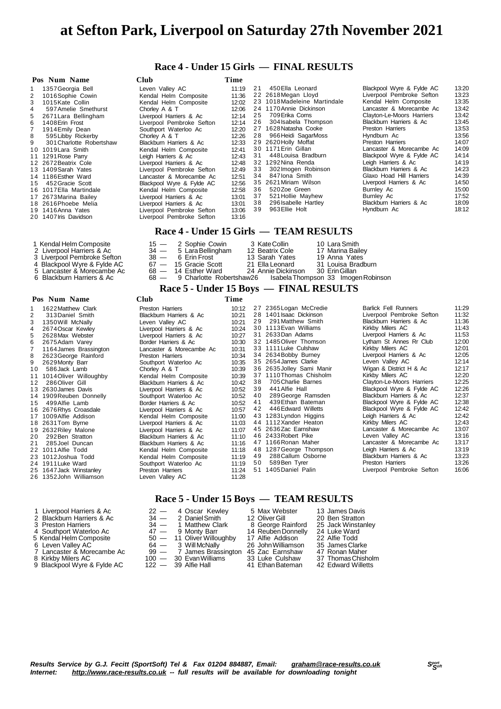# **at Sefton Park, Liverpool on Saturday 27th November 2021**

## **Race 4 - Under 15 Girls — FINAL RESULTS**

|    | Pos Num Name             | <b>Club</b>               | Time  |    |                              |                           |       |
|----|--------------------------|---------------------------|-------|----|------------------------------|---------------------------|-------|
|    | 1357 Georgia Bell        | Leven Vallev AC           | 11:19 | 21 | 450 Ella Leonard             | Blackpool Wyre & Fylde AC | 13:20 |
| 2  | 1016Sophie Cowin         | Kendal Helm Composite     | 11:36 |    | 22 2618 Megan Lloyd          | Liverpool Pembroke Sefton | 13:23 |
| 3  | 1015Kate Collin          | Kendal Helm Composite     | 12:02 |    | 23 1018 Madeleine Martindale | Kendal Helm Composite     | 13:35 |
|    | 597 Amelie Smethurst     | Chorley A & T             | 12:06 |    | 24 1170 Annie Dickinson      | Lancaster & Morecambe Ac  | 13:42 |
| 5  | 2671 Lara Bellingham     | Liverpool Harriers & Ac   | 12:14 | 25 | 709 Erika Corns              | Clayton-Le-Moors Harriers | 13:42 |
| 6  | 1408 Erin Frost          | Liverpool Pembroke Sefton | 12:14 |    | 26 304 Isabela Thompson      | Blackburn Harriers & Ac   | 13:45 |
|    | 1914 Emily Dean          | Southport Waterloo Ac     | 12:20 |    | 27 1628 Natasha Cooke        | Preston Harriers          | 13:53 |
| 8  | 595 Libby Rickerby       | Chorley A & T             | 12:26 | 28 | 966 Heidi SagarMoss          | Hyndburn Ac               | 13:56 |
| 9  | 301 Charlotte Robertshaw | Blackburn Harriers & Ac   | 12:33 |    | 29 2620 Holly Moffat         | Preston Harriers          | 14:07 |
|    | 10 1019 Lara Smith       | Kendal Helm Composite     | 12:41 |    | 30 1171 Erin Gillan          | Lancaster & Morecambe Ac  | 14:09 |
|    | 11 1291 Rose Parry       | Leigh Harriers & Ac       | 12:43 | 31 | 448 Louisa Bradburn          | Blackpool Wyre & Fylde AC | 14:14 |
|    | 12 2672 Beatrix Cole     | Liverpool Harriers & Ac   | 12:48 |    | 32 1292 Nina Renda           | Leigh Harriers & Ac       | 14:19 |
|    | 13 1409 Sarah Yates      | Liverpool Pembroke Sefton | 12:49 | 33 | 302 Imogen Robinson          | Blackburn Harriers & Ac   | 14:23 |
|    | 14 1186 Esther Ward      | Lancaster & Morecambe Ac  | 12:51 | 34 | 847 Iona Smith               | Glaxo Hoad Hill Harriers  | 14:39 |
| 15 | 452 Gracie Scott         | Blackpool Wyre & Fylde AC | 12:56 |    | 35 2621 Miriam Wilson        | Liverpool Harriers & Ac   | 14:50 |
|    | 16 1017 Ella Martindale  | Kendal Helm Composite     | 12:58 | 36 | 520Zoe Green                 | Burnley Ac                | 15:00 |
|    | 17 2673 Marina Bailey    | Liverpool Harriers & Ac   | 13:01 | 37 | 521 Hollie Mayhew            | Burnley Ac                | 17:52 |
|    | 18 2616 Phoebe Melia     | Liverpool Harriers & Ac   | 13:01 | 38 | 296 Isabelle Hartley         | Blackburn Harriers & Ac   | 18:09 |
|    | 19 1416 Anna Yates       | Liverpool Pembroke Sefton | 13:06 | 39 | 963 Ellie Holt               | Hyndburn Ac               | 18:12 |
|    | 20 1407 Iris Davidson    | Liverpool Pembroke Sefton | 13:16 |    |                              |                           |       |
|    |                          |                           |       |    |                              |                           |       |

#### **Race 4 - Under 15 Girls — TEAM RESULTS**

|                             |                          |                    | $\begin{array}{c} \n\text{---} \\ \text{---} \\ \text{---} \\ \end{array}$ |
|-----------------------------|--------------------------|--------------------|----------------------------------------------------------------------------|
| 6 Blackburn Harriers & Ac   |                          |                    | 68 — 9 Charlotte Robertshaw26 Isabela Thompson 33 Imogen Robinson          |
| 5 Lancaster & Morecambe Ac  | $68 - 14$ Esther Ward    | 24 Annie Dickinson | 30  Erin Gillan                                                            |
| 4 Blackpool Wyre & Fylde AC | $67 - 15$ Gracie Scott   | 21 Ella Leonard    | 31 Louisa Bradburn                                                         |
| 3 Liverpool Pembroke Sefton | 38 — 6 Erin Frost        | 13 Sarah Yates     | 19 Anna Yates                                                              |
| 2 Liverpool Harriers & Ac   | $34 - 5$ Lara Bellingham | 12 Beatrix Cole    | 17 Marina Bailey                                                           |
| 1 Kendal Helm Composite     | $15 - 2$ Sophie Cowin    | 3 KateCollin       | 10 Lara Smith                                                              |

#### **Race 5 - Under 15 Boys — FINAL RESULTS**

|  | Pos Num Name | Club | Time |
|--|--------------|------|------|
|  |              |      |      |

1 Kendal Helm Composite

|    | 1622 Matthew Clark        | Preston Harriers         | 10:12 |    | 27 2365 Logan McCredie    | <b>Barlick Fell Runners</b> | 11:29 |
|----|---------------------------|--------------------------|-------|----|---------------------------|-----------------------------|-------|
|    | 313 Daniel Smith          | Blackburn Harriers & Ac  | 10:21 |    | 28 1401 Isaac Dickinson   | Liverpool Pembroke Sefton   | 11:32 |
| 3  | 1350 Will McNally         | Leven Valley AC          | 10:21 | 29 | 291 Matthew Smith         | Blackburn Harriers & Ac     | 11:36 |
| 4  | 2674 Oscar Kewley         | Liverpool Harriers & Ac  | 10:24 |    | 30 1113 Evan Williams     | Kirkby Milers AC            | 11:43 |
| 5  | 2628 Max Webster          | Liverpool Harriers & Ac  | 10:27 |    | 31 2633 Dan Adams         | Liverpool Harriers & Ac     | 11:53 |
| 6  | 2675Adam Varey            | Border Harriers & Ac     | 10:30 |    | 32 1485 Oliver Thomson    | Lytham St Annes Rr Club     | 12:00 |
| 7  | 1164 James Brassington    | Lancaster & Morecambe Ac | 10:31 |    | 33 1111 Luke Culshaw      | Kirkby Milers AC            | 12:01 |
| 8  | 2623 George Rainford      | Preston Harriers         | 10:34 |    | 34 2634 Bobby Burney      | Liverpool Harriers & Ac     | 12:05 |
| 9  | 2629 Monty Barr           | Southport Waterloo Ac    | 10:35 |    | 35 2654 James Clarke      | Leven Valley AC             | 12:14 |
| 10 | 586 Jack Lamb             | Chorley A & T            | 10:39 |    | 36 2635 Jolley Sami Manir | Wigan & District H & Ac     | 12:17 |
|    | 11 1014 Oliver Willoughby | Kendal Helm Composite    | 10:39 |    | 37 1110 Thomas Chisholm   | Kirkby Milers AC            | 12:20 |
| 12 | 286 Oliver Gill           | Blackburn Harriers & Ac  | 10:42 | 38 | 705 Charlie Barnes        | Clayton-Le-Moors Harriers   | 12:25 |
|    | 13 2630 James Davis       | Liverpool Harriers & Ac  | 10:52 | 39 | 441 Alfie Hall            | Blackpool Wyre & Fylde AC   | 12:26 |
|    | 14 1909 Reuben Donnelly   | Southport Waterloo Ac    | 10:52 | 40 | 289 George Ramsden        | Blackburn Harriers & Ac     | 12:37 |
| 15 | 499 Alfie Lamb            | Border Harriers & Ac     | 10:52 | 41 | 439 Ethan Bateman         | Blackpool Wyre & Fylde AC   | 12:38 |
|    | 16 2676 Rhys Croasdale    | Liverpool Harriers & Ac  | 10:57 | 42 | 446 Edward Willetts       | Blackpool Wyre & Fylde AC   | 12:42 |
|    | 17 1009 Alfie Addison     | Kendal Helm Composite    | 11:00 |    | 43 1283 Lyndon Higgins    | Leigh Harriers & Ac         | 12:42 |
|    | 18 2631 Tom Byrne         | Liverpool Harriers & Ac  | 11:03 |    | 44 1112 Xander Heaton     | Kirkby Milers AC            | 12:43 |
|    | 19 2632 Riley Malone      | Liverpool Harriers & Ac  | 11:07 |    | 45 2636Zac Earnshaw       | Lancaster & Morecambe Ac    | 13:07 |
| 20 | 292 Ben Stratton          | Blackburn Harriers & Ac  | 11:10 |    | 46 2433 Robert Pike       | Leven Valley AC             | 13:16 |
| 21 | 285 Joel Duncan           | Blackburn Harriers & Ac  | 11:16 |    | 47 1166 Ronan Maher       | Lancaster & Morecambe Ac    | 13:17 |
|    | 22 1011 Alfie Todd        | Kendal Helm Composite    | 11:18 |    | 48 1287 George Thompson   | Leigh Harriers & Ac         | 13:19 |
|    | 23 1012 Joshua Todd       | Kendal Helm Composite    | 11:19 | 49 | 288 Callum Osborne        | Blackburn Harriers & Ac     | 13:23 |
|    | 24 1911 Luke Ward         | Southport Waterloo Ac    | 11:19 | 50 | 589 Ben Tyrer             | Preston Harriers            | 13:26 |
|    | 25 1647 Jack Winstanley   | Preston Harriers         | 11:24 |    | 51 1405 Daniel Palin      | Liverpool Pembroke Sefton   | 16:06 |
|    | 26 1352 John Williamson   | Leven Valley AC          | 11:28 |    |                           |                             |       |

# **Race 5 - Under 15 Boys — TEAM RESULTS**

| 1 Liverpool Harriers & Ac   | 22 - 4 Oscar Kewley         | 5 Max Webster      | 13 James Davis     |
|-----------------------------|-----------------------------|--------------------|--------------------|
| 2 Blackburn Harriers & Ac   | 34 - 2 Daniel Smith         | 12 Oliver Gill     | 20 Ben Stratton    |
| 3 Preston Harriers          | 34 - 1 Matthew Clark        | 8 George Rainford  | 25 Jack Winstanley |
| 4 Southport Waterloo Ac     | 47 — 9 Monty Barr           | 14 Reuben Donnelly | 24 Luke Ward       |
| 5 Kendal Helm Composite     | $50 - 11$ Oliver Willoughby | 17 Alfie Addison   | 22 Alfie Todd      |
| 6 Leven Valley AC           | $64 - 3$ Will McNally       | 26 John Williamson | 35 James Clarke    |
| 7 Lancaster & Morecambe Ac  | 99 - 7 James Brassington    | 45 Zac Earnshaw    | 47 Ronan Maher     |
| 8 Kirkby Milers AC          | $100 - 30$ Evan Williams    | 33 Luke Culshaw    | 37 Thomas Chisholm |
| 9 Blackpool Wyre & Fylde AC | $122 - 39$ Alfie Hall       | 41 Ethan Bateman   | 42 Edward Willetts |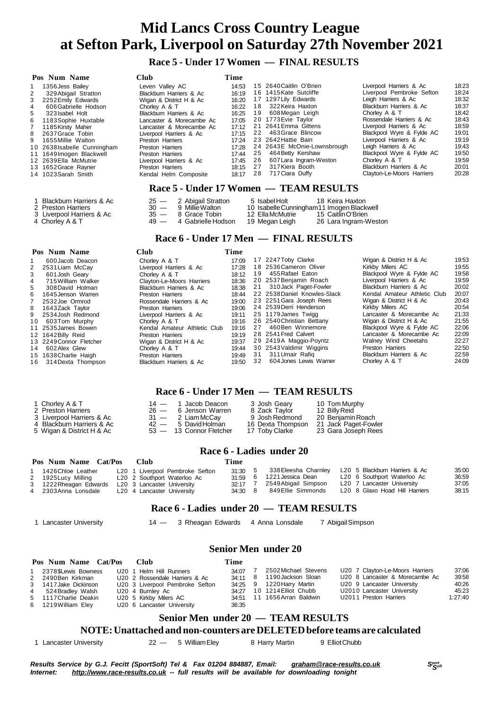**Race 5 - Under 17 Women — FINAL RESULTS**

| Pos Num Name                         | <b>Club</b>                            | Time  |                                            |                                                                                                                           |       |  |  |  |  |
|--------------------------------------|----------------------------------------|-------|--------------------------------------------|---------------------------------------------------------------------------------------------------------------------------|-------|--|--|--|--|
| 1356 Jess Bailey<br>1                | Leven Valley AC                        | 14:53 | 15 2640 Caitlin O'Brien                    | Liverpool Harriers & Ac                                                                                                   | 18:23 |  |  |  |  |
| 2<br>329 Abigail Stratton            | Blackburn Harriers & Ac                | 16:19 | 16 1415 Kate Sutcliffe                     | Liverpool Pembroke Sefton                                                                                                 | 18:24 |  |  |  |  |
| 3<br>2252 Emily Edwards              | Wigan & District H & Ac                | 16:20 | 17 1297 Lily Edwards                       | Leigh Harriers & Ac                                                                                                       | 18:32 |  |  |  |  |
| 4<br>606 Gabrielle Hodson            | Chorley A & T                          | 16:22 | 18 322 Keira Haxton                        | Blackburn Harriers & Ac                                                                                                   | 18:37 |  |  |  |  |
| 5<br>323 Isabel Holt                 | Blackburn Harriers & Ac                | 16:25 | 19<br>608 Megan Leigh                      | Chorley A & T                                                                                                             | 18:42 |  |  |  |  |
| 6<br>1183 Sophie Huxtable            | Lancaster & Morecambe Ac               | 17:05 | 20 1773 Evie Taylor                        | Rossendale Harriers & Ac                                                                                                  | 18:43 |  |  |  |  |
| $\overline{7}$<br>1185 Kirsty Maher  | Lancaster & Morecambe Ac               | 17:12 | 21 2641 Emma Gittens                       | Liverpool Harriers & Ac                                                                                                   | 18:59 |  |  |  |  |
| 8<br>2637 Grace Tobin                | Liverpool Harriers & Ac                | 17:15 | 22 463 Grace Blincow                       | Blackpool Wyre & Fylde AC                                                                                                 | 19:01 |  |  |  |  |
| 9<br>1655 Millie Walton              | <b>Preston Harriers</b>                | 17:24 | 23 2642 Hattie Bain                        | Liverpool Harriers & Ac                                                                                                   | 19:19 |  |  |  |  |
| 10 2638 Isabelle Cunningham          | <b>Preston Harriers</b>                | 17:28 | 24 2643E McOnie-Lownsbrough                | Leigh Harriers & Ac                                                                                                       | 19:43 |  |  |  |  |
| 11 1649 Imogen Blackwell             | Preston Harriers                       | 17:44 | 25 464 Betty Kershaw                       | Blackpool Wyre & Fylde AC                                                                                                 | 19:50 |  |  |  |  |
| 12 2639 Ella McMutrie                | Liverpool Harriers & Ac                | 17:45 | 26<br>607 Lara Ingram-Weston               | Chorley A & T                                                                                                             | 19:59 |  |  |  |  |
| 13 1652 Grace Rayner                 | <b>Preston Harriers</b>                | 18:15 | 317 Kiera Booth<br>27                      | Blackburn Harriers & Ac                                                                                                   | 20:01 |  |  |  |  |
| 14 1023 Sarah Smith                  | Kendal Helm Composite                  | 18:17 | 717 Ciara Duffy<br>28                      | Clayton-Le-Moors Harriers                                                                                                 | 20:28 |  |  |  |  |
|                                      | Race 5 - Under 17 Women — TEAM RESULTS |       |                                            |                                                                                                                           |       |  |  |  |  |
| Blackburn Harriers & Ac              | $25 -$<br>2 Abigail Stratton           |       | 18 Keira Haxton<br>5 Isabel Holt           |                                                                                                                           |       |  |  |  |  |
| 2 Preston Harriers                   | $30 -$<br>9 Millie Walton              |       | 10 Isabelle Cunningham 11 Imogen Blackwell |                                                                                                                           |       |  |  |  |  |
| 3 Liverpool Harriers & Ac            | $35 -$<br>8 Grace Tobin                |       | 12 Ella McMutrie<br>15 Caitlin O'Brien     |                                                                                                                           |       |  |  |  |  |
| 4 Chorley A & T                      | $49 -$<br>4 Gabrielle Hodson           |       | 26 Lara Ingram-Weston<br>19 Megan Leigh    |                                                                                                                           |       |  |  |  |  |
|                                      |                                        |       | Race 6 - Under 17 Men — FINAL RESULTS      |                                                                                                                           |       |  |  |  |  |
| Pos Num Name                         | <b>Club</b>                            | Time  |                                            |                                                                                                                           |       |  |  |  |  |
| 600 Jacob Deacon<br>1                | Chorley A & T                          | 17:09 | 17 2247 Toby Clarke                        | Wigan & District H & Ac                                                                                                   | 19:53 |  |  |  |  |
| 2531 Liam McCay                      | Liverpool Harriers & Ac                | 17:28 | 18 2536 Cameron Oliver                     | Kirkby Milers AC                                                                                                          | 19:55 |  |  |  |  |
| 3<br>601 Josh Geary                  | Chorley A & T                          | 18:12 | 455 Rafael Eaton<br>19                     | Blackpool Wyre & Fylde AC                                                                                                 | 19:58 |  |  |  |  |
| $\overline{4}$<br>715 William Walker | Clayton-Le-Moors Harriers              | 18:36 | 20 2537 Benjamin Roach                     | Liverpool Harriers & Ac                                                                                                   | 19:59 |  |  |  |  |
| 5<br>308 David Holman                | Blackburn Harriers & Ac                | 18:38 | 21<br>310 Jack Paget-Fowler                | Blackburn Harriers & Ac                                                                                                   | 20:02 |  |  |  |  |
|                                      |                                        |       | $0.0.050000$ $0.00000$ $0.00000$ $0.00000$ | $\mathcal{L}$ and $\mathcal{L}$ and $\mathcal{L}$ and $\mathcal{L}$ and $\mathcal{L}$ and $\mathcal{L}$ and $\mathcal{L}$ | 0002  |  |  |  |  |

|    | $\overline{\mathcal{Q}}$ | <u>UINIU V I V I</u>         | .     |    | $\cdots$ $\cdots$ $\cdots$   |                              |       |
|----|--------------------------|------------------------------|-------|----|------------------------------|------------------------------|-------|
| 2  | 2531 Liam McCay          | Liverpool Harriers & Ac      | 17:28 |    | 18 2536 Cameron Oliver       | Kirkby Milers AC             | 19:55 |
|    | 601 Josh Geary           | Chorley A & T                | 18:12 | 19 | 455 Rafael Eaton             | Blackpool Wyre & Fylde AC    | 19:58 |
| 4  | 715 William Walker       | Clayton-Le-Moors Harriers    | 18:36 |    | 20 2537 Beniamin Roach       | Liverpool Harriers & Ac      | 19:59 |
| 5. | 308 David Holman         | Blackburn Harriers & Ac      | 18:38 |    | 21 310 Jack Paget-Fowler     | Blackburn Harriers & Ac      | 20:02 |
| 6  | 1645 Jenson Warren       | <b>Preston Harriers</b>      | 18:44 |    | 22 2538 Daniel Knowles-Slack | Kendal Amateur Athletic Club | 20:07 |
|    | 2532 Joe Ormrod          | Rossendale Harriers & Ac     | 19:00 |    | 23 2251 Gara Joseph Rees     | Wigan & District H & Ac      | 20:43 |
|    | 8 1643Zack Tavlor        | Preston Harriers             | 19:06 |    | 24 2539 Derri Henderson      | Kirkby Milers AC             | 20:54 |
|    | 9 2534 Josh Redmond      | Liverpool Harriers & Ac      | 19:11 |    | 25 1179 James Twigg          | Lancaster & Morecambe Ac     | 21:33 |
|    | 10 603Tom Murphy         | Chorley A & T                | 19:16 |    | 26 2540 Christian Bettany    | Wigan & District H & Ac      | 21:55 |
|    | 11 2535 James Bowen      | Kendal Amateur Athletic Club | 19:16 | 27 | 460Ben Winnemore             | Blackpool Wyre & Fylde AC    | 22:06 |
|    | 12 1642Billy Reid        | <b>Preston Harriers</b>      | 19 19 |    | 28 2541 Fred Calvert         | Lancaster & Morecambe Ac     | 22:09 |
|    | 13 2249 Connor Fletcher  | Wigan & District H & Ac      | 19:37 |    | 29 2419A Maggio-Poyntz       | Walney Wind Cheetahs         | 22:27 |
|    | 14 602 Alex Glew         | Chorley A & T                | 19:44 |    | 30 2543 Valdimir Wiggins     | Preston Harriers             | 22:50 |
|    | 15 1638 Charlie Haigh    | <b>Preston Harriers</b>      | 19:49 | 31 | 311 Umair Rafig              | Blackburn Harriers & Ac      | 22:59 |
|    | 16 314 Dexta Thompson    | Blackburn Harriers & Ac      | 19:50 | 32 | 604 Jones Lewis Warner       | Chorley A & T                | 24:09 |
|    |                          |                              |       |    |                              |                              |       |

# **Race 6 - Under 17 Men — TEAM RESULTS**

| 1 Chorley A & T           | $14 - 1$ Jacob Deacon   | 3 Josh Geary      | 10 Tom Murphy        |
|---------------------------|-------------------------|-------------------|----------------------|
| 2 Preston Harriers        | $26 - 6$ Jenson Warren  | 8 Zack Taylor     | 12 Billy Reid        |
| 3 Liverpool Harriers & Ac | $31 - 2$ Liam McCay     | 9 Josh Redmond    | 20 Beniamin Roach    |
| 4 Blackburn Harriers & Ac | $42 - 5$ David Holman   | 16 Dexta Thompson | 21 Jack Paget-Fowler |
| 5 Wigan & District H & Ac | 53 - 13 Connor Fletcher | 17 Toby Clarke    | 23 Gara Joseph Rees  |

# **Race 6 - Ladies under 20**

| Pos Num Name Cat/Pos   | - Club                          | Time      |                              |                                |       |
|------------------------|---------------------------------|-----------|------------------------------|--------------------------------|-------|
| 1 1426 Chloe Leather   | L20 1 Liverpool Pembroke Sefton | 31:30 5   | 338 Eleesha Charnley         | L20 5 Blackburn Harriers & Ac  | 35:00 |
| 2 1925 Lucy Milling    | L20 2 Southport Waterloo Ac     | $31.59$ 6 | 1221Jessica Dean             | L20 6 Southport Waterloo Ac    | 36:59 |
| 3 1222 Rheagan Edwards | L20 3 Lancaster University      |           | 32:17 7 2549 Abigail Simpson | L20 7 Lancaster University     | 37:05 |
| 4 2303Anna Lonsdale    | L20 4 Lancaster University      | 34:30 8   | 849Ellie Simmonds            | L20 8 Glaxo Hoad Hill Harriers | 38:15 |

# **Race 6 - Ladies under 20 — TEAM RESULTS**

 **Senior Men under 20**

1 Lancaster University 14 — 3 Rheagan Edwards 4 Anna Lonsdale 7 AbigailSimpson

| Pos Num Name Cat/Pos  | Club                            | Time    |                             |                                 |         |
|-----------------------|---------------------------------|---------|-----------------------------|---------------------------------|---------|
| 2378\$Lewis Bowness   | U20 1 Helm Hill Runners         | 34.07 7 | 2502Michael Stevens         | U20 7 Clayton-Le-Moors Harriers | 37:06   |
| 2 2490Ben Kirkman     | U20 2 Rossendale Harriers & Ac  |         | 34.11 8 1190 Jackson Sloan  | U20 8 Lancaster & Morecambe Ac  | 39:58   |
| 3 1417 Jake Dickinson | U20 3 Liverpool Pembroke Sefton |         | 34:25 9 1220 Harry Martin   | U20 9 Lancaster University      | 40:26   |
| 4 524 Bradlev Walsh   | U20 4 Burnley Ac                |         | 34:27 10 1214 Elliot Chubb  | U2010 Lancaster University      | 45:23   |
| 5 1117 Charlie Deakin | U20 5 Kirkby Milers AC          |         | 34:51 11 1656 Arran Baldwin | U2011 Preston Harriers          | 1:27:40 |
| 6 1219 William Eley   | U20 6 Lancaster University      | 36:35   |                             |                                 |         |

# **Senior Men under 20 — TEAM RESULTS**

#### **NOTE:Unattached and non-counters are DELETEDbefore teams are calculated**

1 Lancaster University  $22 - 5$  William Eley 8 Harry Martin 9 Elliot Chubb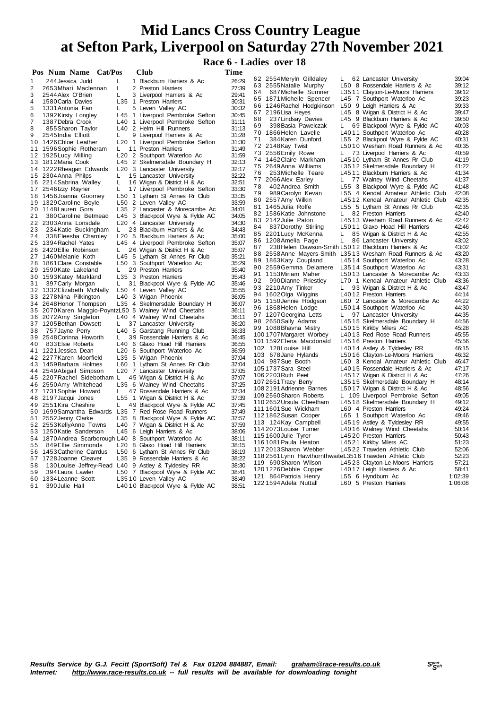**Race 6 - Ladies over 18**

|    | Pos Num Name Cat/Pos                                   |     | Club                                                            | Time           |    |                                                            |              |                                                                 |                |
|----|--------------------------------------------------------|-----|-----------------------------------------------------------------|----------------|----|------------------------------------------------------------|--------------|-----------------------------------------------------------------|----------------|
| 1  | 244 Jessica Judd                                       | L   | 1 Blackburn Harriers & Ac                                       | 26:29          |    | 62 2554 Meryln Gilldaley                                   | L.           | 62 Lancaster University                                         | 39:04          |
| 2  | 2653 Mhari Maclennan                                   | L   | 2 Preston Harriers                                              | 27:39          |    | 63 2555 Natalie Murphy                                     |              | L50 8 Rossendale Harriers & Ac                                  | 39:12          |
| 3  | 2544 Alex O'Brien                                      | L   | 3 Liverpool Harriers & Ac                                       | 29:41          | 64 | 687 Michelle Sumner                                        |              | L3511 Clayton-Le-Moors Harriers                                 | 39:12          |
| 4  | 1580 Carla Davies                                      | L35 | 1 Preston Harriers                                              | 30:31          |    | 65 1871 Michelle Spencer                                   |              | L45 7 Southport Waterloo Ac                                     | 39:23          |
| 5  | 1331 Antonia Fan                                       | L   | 5 Leven Valley AC                                               | 30:32          |    | 66 1246 Rachel Hodgkinson                                  |              | L50 9 Leigh Harriers & Ac                                       | 39:33          |
| 6  | 1392 Kirsty Longley                                    |     | L45 1 Liverpool Pembroke Sefton                                 | 30:45          |    | 67 2196 Lisa Heyes                                         |              | L45 8 Wigan & District H & Ac                                   | 39:47          |
| 7  | 1387 Debra Crook                                       | L40 | 1 Liverpool Pembroke Sefton                                     | 31:11          | 68 | 237 Lindsay Davies                                         |              | L45 9 Blackburn Harriers & Ac                                   | 39:50          |
| 8  | 855 Sharon Taylor                                      |     | L40 2 Helm Hill Runners                                         | 31:13          | 69 | 398 Basia Pawelczak                                        | L.           | 69 Blackpool Wyre & Fylde AC                                    | 40:03          |
| 9  | 2545 India Elliott                                     | L   | 9 Liverpool Harriers & Ac                                       | 31:28          |    | 70 1866 Helen Lavelle                                      |              | L4011 Southport Waterloo Ac                                     | 40:28          |
|    | 10 1426 Chloe Leather                                  |     | L20 1 Liverpool Pembroke Sefton                                 | 31:30          | 71 | 384 Karen Dunford                                          |              | L55 2 Blackpool Wyre & Fylde AC                                 | 40:31          |
|    | 11 1596 Sophie Rotheram                                | L.  | 11 Preston Harriers                                             | 31:49          |    | 72 2148Kay Twist                                           | L.           | L5010 Wesham Road Runners & Ac<br>73 Liverpool Harriers & Ac    | 40:35<br>40:59 |
|    | 12 1925 Lucy Milling                                   |     | L20 2 Southport Waterloo Ac                                     | 31:59          |    | 73 2556 Emily Rowe<br>74 1462 Claire Markham               |              | L4510 Lytham St Annes Rr Club                                   | 41:19          |
|    | 13 1812 Maria Cook                                     |     | L45 2 Skelmersdale Boundary H                                   | 32:13          |    | 75 2649Anna Williams                                       |              | L3512 Skelmersdale Boundary H                                   | 41:22          |
|    | 14 1222 Rheagan Edwards                                |     | L <sub>20</sub> 3 Lancaster University                          | 32:17          | 76 | 253 Michelle Teare                                         |              | L4511 Blackburn Harriers & Ac                                   | 41:34          |
|    | 15 2304 Anna Philps                                    | L   | 15 Lancaster University                                         | 32:22          |    | 77 2066 Alex Earley                                        | $\mathbf{L}$ | 77 Walney Wind Cheetahs                                         | 41:37          |
|    | 16 2214 Sabrina Walley                                 | L   | 16 Wigan & District H & Ac                                      | 32:51          | 78 | 402 Andrea Smith                                           |              | L55 3 Blackpool Wyre & Fylde AC                                 | 41:48          |
|    | 17 2546 Izzy Rayner                                    | L   | 17 Liverpool Pembroke Sefton                                    | 33:30          | 79 | 989 Carolyn Kevan                                          |              | L55 4 Kendal Amateur Athletic Club                              | 42:08          |
|    | 18 1456 Joanna Goorney                                 |     | L50 1 Lytham St Annes Rr Club                                   | 33:35          |    | 80 2557 Amy Wilkin                                         |              | L4512 Kendal Amateur Athletic Club                              | 42:35          |
|    | 19 1329 Caroline Boyle                                 |     | L50 2 Leven Valley AC                                           | 33:59          |    | 81 1465Julia Rolfe                                         |              | L55 5 Lytham St Annes Rr Club                                   | 42:35          |
|    | 20 1148 Lauren Gora                                    |     | L35 2 Lancaster & Morecambe Ac                                  | 34:01          |    | 82 1586 Katie Johnstone                                    | L.           | 82 Preston Harriers                                             | 42:40          |
| 21 | 380 Caroline Betmead                                   |     | L45 3 Blackpool Wyre & Fylde AC                                 | 34:05          |    | 83 2142 Julie Paton                                        |              | L4513 Wesham Road Runners & Ac                                  | 42:42          |
|    | 22 2303 Anna Lonsdale                                  |     | L20 4 Lancaster University                                      | 34:30          | 84 | 837 Dorothy Stirling                                       |              | L5011 Glaxo Hoad Hill Harriers                                  | 42:46          |
| 23 | 234 Katie Buckingham                                   | L.  | 23 Blackburn Harriers & Ac                                      | 34:43          |    | 85 2201 Lucy McKenna                                       | L.           | 85 Wigan & District H & Ac                                      | 42:55          |
| 24 | 338 Eleesha Charnley                                   |     | L <sub>20</sub> 5 Blackburn Harriers & Ac                       | 35:00          |    | 86 1208 Amelia Page                                        | L            | 86 Lancaster University                                         | 43:02          |
|    | 25 1394 Rachel Yates                                   |     | L45 4 Liverpool Pembroke Sefton                                 | 35:07          | 87 | 238 Helen Dawson-Smith L5012 Blackburn Harriers & Ac       |              |                                                                 | 43:02          |
|    | 26 2420 Ellie Robinson                                 | L.  | 26 Wigan & District H & Ac                                      | 35:07          |    |                                                            |              | 88 2558 Anne Mayers-Smith L3513 Wesham Road Runners & Ac        | 43:20          |
|    | 27 1460 Melanie Koth<br>28 1861 Clare Constable        |     | L45 5 Lytham St Annes Rr Club<br>L50 3 Southport Waterloo Ac    | 35:21<br>35:29 |    | 89 1863Katy Coupland                                       |              | L4514 Southport Waterloo Ac                                     | 43:28          |
|    | 29 1590 Kate Lakeland                                  | L   | 29 Preston Harriers                                             | 35:40          |    | 90 2559Gemma Delamere                                      |              | L3514 Southport Waterloo Ac                                     | 43:31          |
|    | 30 1593 Katey Markland                                 |     | L35 3 Preston Harriers                                          | 35:43          |    | 91 1153Miriam Maher                                        |              | L5013 Lancaster & Morecambe Ac                                  | 43:33          |
| 31 | 397 Carly Morgan                                       | L.  | 31 Blackpool Wyre & Fylde AC                                    | 35:46          | 92 | 990 Dianne Priestley                                       |              | L70 1 Kendal Amateur Athletic Club                              | 43:36          |
|    | 32 1332 Elizabeth McNally                              |     | L50 4 Leven Valley AC                                           | 35:55          |    | 93 2210Amy Tinker                                          | L.           | 93 Wigan & District H & Ac                                      | 43:47          |
|    | 33 2278 Nina Pilkington                                |     | L40 3 Wigan Phoenix                                             | 36:05          |    | 94 1602Olga Wiggins                                        |              | L4012 Preston Harriers                                          | 44:14          |
|    | 34 2648 Honor Thompson                                 |     | L35 4 Skelmersdale Boundary H                                   | 36:07          |    | 95 1150Jennie Hodgson                                      |              | L60 2 Lancaster & Morecambe Ac                                  | 44:22          |
|    | 35 2070 Karen Maggio-PoyntzL50 5 Walney Wind Cheetahs  |     |                                                                 | 36:11          |    | 96 1868Helen Lodge                                         |              | L5014 Southport Waterloo Ac                                     | 44:30          |
|    | 36 2072 Amy Singleton                                  |     | L40 4 Walney Wind Cheetahs                                      | 36:11          |    | 97 1207 Georgina Letts                                     | L            | 97 Lancaster University                                         | 44:35          |
|    | 37 1205 Bethan Dowsett                                 | L   | 37 Lancaster University                                         | 36:20          |    | 98 2650Sally Adams                                         |              | L4515 Skelmersdale Boundary H                                   | 44:56          |
| 38 | 757 Jayne Perry                                        |     | L40 5 Garstang Running Club                                     | 36:33          |    | 99 1088 Bhavna Mistry                                      |              | L5015 Kirkby Milers AC                                          | 45:28          |
|    | 39 2548 Corinna Howorth                                | L   | 39 Rossendale Harriers & Ac                                     | 36:45          |    | 1001707 Margaret Worbey                                    |              | L4013 Red Rose Road Runners                                     | 45:55          |
| 40 | 833 Elsie Roberts                                      |     | L40 6 Glaxo Hoad Hill Harriers                                  | 36:55          |    | 1011592Elena Macdonald                                     |              | L4516 Preston Harriers                                          | 45:56          |
|    | 41 1221 Jessica Dean                                   |     | L20 6 Southport Waterloo Ac                                     | 36:59          |    | 102 128 Louise Hill                                        |              | L4014 Astley & Tyldesley RR                                     | 46:15          |
|    | 42 2277 Karen Moorfield                                |     | L35 5 Wigan Phoenix                                             | 37:04          |    | 103 678 Jane Hylands                                       |              | L5016 Clayton-Le-Moors Harriers                                 | 46:32          |
|    | 43 1459 Barbara Holmes                                 |     | L60 1 Lytham St Annes Rr Club                                   | 37:04          |    | 104 987 Sue Booth                                          |              | L60 3 Kendal Amateur Athletic Club                              | 46:47<br>47:17 |
|    | 44 2549 Abigail Simpson                                |     | L20 7 Lancaster University                                      | 37:05          |    | 105 1737 Sara Steel<br>106 2203 Ruth Peet                  |              | L4015 Rossendale Harriers & Ac<br>L4517 Wigan & District H & Ac | 47:26          |
|    | 45 2207 Rachel Sidebotham L                            |     | 45 Wigan & District H & Ac                                      | 37:07          |    | 107 2651 Tracy Berry                                       |              | L3515 Skelmersdale Boundary H                                   | 48:14          |
|    | 46 2550 Amy Whitehead                                  |     | L35 6 Walney Wind Cheetahs                                      | 37:25          |    | 108 2191 Adrienne Barnes                                   |              | L5017 Wigan & District H & Ac                                   | 48:56          |
|    | 47 1731 Sophie Howard                                  | L   | 47 Rossendale Harriers & Ac                                     | 37:34          |    | 109 2560 Sharon Roberts                                    |              | L 109 Liverpool Pembroke Sefton                                 | 49:05          |
|    | 48 2197 Jacqui Jones                                   |     | L55 1 Wigan & District H & Ac                                   | 37:39          |    | 110 2652 Ursula Cheetham                                   |              | L4518 Skelmersdale Boundary H                                   | 49:12          |
|    | 49 2551 Kira Cheshire                                  | L.  | 49 Blackpool Wyre & Fylde AC                                    | 37:45          |    | 1111601Sue Wickham                                         |              | L60 4 Preston Harriers                                          | 49:24          |
|    | 50 1699 Samantha Edwards                               |     | L35 7 Red Rose Road Runners                                     | 37:49          |    | 1121862 Susan Cooper                                       |              | L65 1 Southport Waterloo Ac                                     | 49:46          |
|    | 51 2552 Jenny Clarke                                   |     | L35 8 Blackpool Wyre & Fylde AC                                 | 37:57          |    | 113 124 Kay Campbell                                       |              | L4519 Astley & Tyldesley RR                                     | 49:55          |
|    | 52 2553 Kelly Anne Towns                               | L40 | 7 Wigan & District H & Ac                                       | 37:59          |    | 114 2073 Louise Turner                                     |              | L4016 Walney Wind Cheetahs                                      | 50:14          |
|    | 53 1250 Katie Sanderson                                |     | L45 6 Leigh Harriers & Ac                                       | 38:06<br>38:11 |    | 1151600 Julie Tyrer                                        |              | L4520 Preston Harriers                                          | 50:43          |
| 55 | 54 1870 Andrea Scarborough L40 8 Southport Waterloo Ac |     |                                                                 | 38:15          |    | 116 1081 Paula Heaton                                      |              | L4521 Kirkby Milers AC                                          | 51:23          |
|    | 849 Ellie Simmonds<br>56 1453 Catherine Carrdus        |     | L20 8 Glaxo Hoad Hill Harriers<br>L50 6 Lytham St Annes Rr Club | 38:19          |    | 117 2013 Sharon Webber                                     |              | L4522 Trawden Athletic Club                                     | 52:06          |
|    | 57 1728 Joanne Cleaver                                 |     | L35 9 Rossendale Harriers & Ac                                  | 38:22          |    | 118 2561 Lynn Hawthornthwaite L351 6 Trawden Athletic Club |              |                                                                 | 52:23          |
| 58 | 130 Louise Jeffrey-Read                                |     | L40 9 Astley & Tyldesley RR                                     | 38:30          |    | 119 690 Sharon Wilson                                      |              | L4523 Clayton-Le-Moors Harriers                                 | 57:21          |
| 59 | 394 Laura Lawler                                       |     | L50 7 Blackpool Wyre & Fylde AC                                 | 38:41          |    | 1201226 Debbie Copper                                      |              | L4017 Leigh Harriers & Ac                                       | 58:41          |
|    | 60 1334 Leanne Scott                                   |     | L3510 Leven Valley AC                                           | 38:49          |    | 121 864 Patricia Henry                                     |              | L55 6 Hyndburn Ac                                               | 1:02:39        |
| 61 | 390 Julie Hall                                         |     | L4010 Blackpool Wyre & Fylde AC                                 | 38:51          |    | 1221594 Adela Nuttall                                      |              | L60 5 Preston Harriers                                          | 1:06:08        |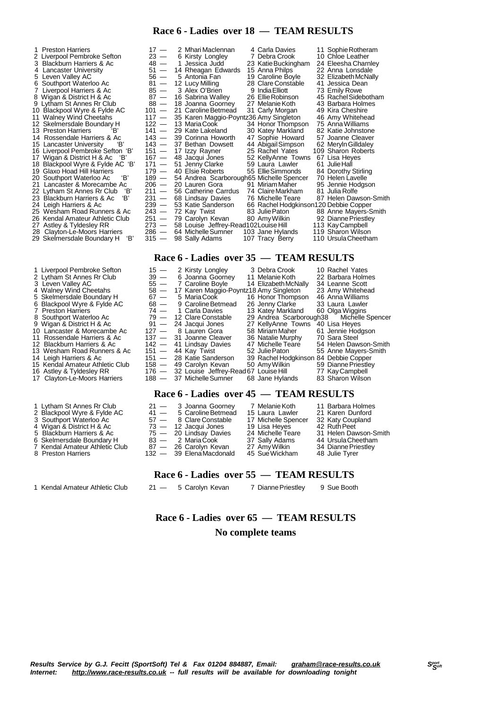#### **Race 6 - Ladies over 18 — TEAM RESULTS**

- 25 Wesham Road Runners & Ac 243 —<br>26 Kendal Amateur Athletic Club 251 —
- 
- 29 Skelmersdale Boundary H 'B'
- 
- 
- 3 Leven Valley AC<br>4 Walney Wind Che
- 4 Walney Wind Cheetahs<br>5 Skelmersdale Boundary
- 
- 
- 7 Preston Harriers<br>8 Southport Water 8 Southport Waterloo Ac
- 9 Wigan & District H & Ac
- 10 Lancaster & Morecambe Ac
- 11 Rossendale Harriers & Ac
- 12 Blackburn Harriers & Ac
- 13 Wesham Road Runners & Ac
- 
- 16 Astley & Tyldesley RR
- 
- 
- 1 Lytham St Annes Rr Club
- 2 Blackpool Wyre & Fylde AC
- 3 Southport Waterloo Ac
- 
- 6 Skelmersdale Boundary H
- 
- 7 Kendal Amateur Athletic Club<br>8 Preston Harriers **Preston Harriers**
- 1 Kendal Amateur Athletic Club 21 5 Carolyn Kevan 7 DiannePriestley 9 Sue Booth

1 Preston Harriers 17  $-$  2 Mhari Maclennan 4 Carla Davies 11 Sophie Rotheram<br>
2 Liverpool Pembroke Sefton 23  $-$  6 Kirsty Longley 7 Debra Crook 10 Chloe Leather<br>
3 Blackburn Harriers & Ac 48  $-$  1 Jessica Judd 23 Katie B 2 Liverpool Pembroke Sefton 23 — 6 Kirsty Longley 7 Debra Crook 10 Chloe Leather 3 Blackburn Harriers & Ac 48 — 1 Jessica Judd 23 KatieBuckingham 24 Eleesha Charnley 4 Lancaster University 51 — 14 Rheagan Edwards 15 Anna Philps 22 Anna Lonsdale 5 Leven Valley AC 56 — 5 Antonia Fan 19 Caroline Boyle 32 ElizabethMcNally 6 Southport Waterloo Ac 81 — 12 Lucy Milling 28 Clare Constable 41 Jessica Dean 7 Liverpool Harriers & Ac 85 — 3 Alex O'Brien 9 India Elliott 73 Emily Rowe<br>8 Wigan & District H & Ac 87 — 16 Sabrina Walley 26 Ellie Robinson 45 Rachel Sidebotham<br>9 Lytham St Annes Rr Club 88 — 18 Joanna Goorney 27 Melani 8 Wigan & District H & Ac 87 — 16 Sabrina Walley 26 Ellie Robinson 45 Rachel Sideboth.<br>9 Lytham St Annes Rr Club 88 — 18 Joanna Goorney 27 Melanie Koth 43 Barbara Holmes 9 Lytham St Annes Rr Club 88 - 18 Joanna Goorney 27 Melanie Koth 43 Barbara Holm<br>10 Blackpool Wyre & Fylde AC 101 - 21 Caroline Betmead 31 Carly Morgan 49 Kira Cheshire<br>11 Walney Wind Cheetahs 117 - 35 Karen Maggio-Poyntz3 10 Blackpool Wyre & Fylde AC 101 — 21 Caroline Betmead 31 Carly Morgan 49 Kira Cheshire<br>11 Walney Wind Cheetahs 117 — 35 Karen Maggio-Poyntz36 Amy Singleton 46 Amy Whitehead<br>12 Skelmersdale Boundary H 122 — 13 Maria Cook 3 11 Walney Wind Cheetahs 117 — 35 Karen Maggio-Poyntz36 Amy Singleton 46 Amy Whitehead 12 Skelmersdale Boundary H 122 — 13 MariaCook 34 Honor Thompson 75 AnnaWilliams 13 Preston Harriers 'B' 141 — 29 Kate Lakeland 30 Katey Markland 82 Katie Johnstone 14 Rossendale Harriers & Ac 143 — 39 Corinna Howorth 47 Sophie Howard 57 Joanne Cleaver 15 Lancaster University 'B' 143 — 37 Bethan Dowsett 44 AbigailSimpson 62 MerylnGilldaley 16 Liverpool Pembroke Sefton 'B' 151 - 17 Izzy Rayner 25 Rachel Yates 109 Sharon Roberts<br>17 Wigan & District H & Ac 'B' 167 - 48 Jacqui Jones 52 KellyAnne Towns 67 Lisa Heyes<br>18 Blackpool Wyre & Fylde AC 'B' 171 - 51 Jenny 17 Wigan & District H & Ac 'B' 167 — 48 Jacqui Jones 52 KellyAnne Towns 67 Lisa Heyes<br>18 Blackpool Wyre & Fylde AC 'B' 171 — 51 Jenny Clarke 59 Laura Lawler 61 Julie Hall 19 Glaxo Hoad Hill Harriers 179 — 40 Elsie Roberts 55 EllieSimmonds 84 Dorothy Stirling 20 Southport Waterloo Ac 'B' 189 — 54 Andrea Scarborough65 Michelle Spencer 70 Helen Lavelle 21 Lancaster & Morecambe Ac 206 — 20 Lauren Gora 91 MiriamMaher 95 Jennie Hodgson 22 Lytham St Annes Rr Club 'B' 211 — 56 Catherine Carrdus 74 ClaireMarkham 81 Julia Rolfe 23 Blackburn Harriers & Ac 'B' 231 — 68 Lindsay Davies 76 Michelle Teare 87 Helen Dawson-Smith 231 — 68 Lindsay Davies<br>
239 — 53 Katie Sanderson 66 Rachel Podgkinson120 Debbie Copper<br>
243 — 72 Kay Twist 83 Julie Paton 88 Anne Mayers-Smith<br>
251 — 79 Carolyn Kevan 80 Amy Wilkin 92 Dianne Priestley 26 Kendal Amateur Athletic Club 251 — 79 Carolyn Kevan 80 Amy Wilkin 92 Dianne Priestley<br>27 Astley & Tyldesley RR 273 — 58 Louise Jeffrey-Read102Louise Hill 113 Kay  28 Clayton-Le-Moors Harriers 286 — 64 MichelleSumner 103 Jane Hylands 119 Sharon Wilson

#### **Race 6 - Ladies over 35 — TEAM RESULTS**

| 1 Liverpool Pembroke Sefton     | $15 -$  | 2 Kirsty Longley                            | 3 Debra Crook                         | 10 Rachel Yates       |
|---------------------------------|---------|---------------------------------------------|---------------------------------------|-----------------------|
| 2 Lytham St Annes Rr Club       |         | 39 - 6 Joanna Goorney                       | 11 Melanie Koth                       | 22 Barbara Holmes     |
| 3 Leven Valley AC               | $55 -$  | 7 Caroline Boyle                            | 14 Elizabeth McNally                  | 34 Leanne Scott       |
| 4 Walney Wind Cheetahs          | 58 —    | 17 Karen Maggio-Poyntz18 Amy Singleton      |                                       | 23 Amy Whitehead      |
| 5 Skelmersdale Boundary H       | 67 —    | 5 Maria Cook                                | 16 Honor Thompson                     | 46 Anna Williams      |
| 6 Blackpool Wyre & Fylde AC     | 68 —    | 9 Caroline Betmead                          | 26 Jenny Clarke                       | 33 Laura Lawler       |
| 7 Preston Harriers              | 74 —    | 1 Carla Davies                              | 13 Katey Markland                     | 60 Olga Wiggins       |
| 8 Southport Waterloo Ac         |         | 79 - 12 Clare Constable                     | 29 Andrea Scarborough38               | Michelle Spencer      |
| 9 Wigan & District H & Ac       |         | $91 - 24$ Jacqui Jones                      | 27 KellyAnne Towns                    | 40 Lisa Heyes         |
| 10 Lancaster & Morecambe Ac     | $127 -$ | 8 Lauren Gora                               | 58 Miriam Maher                       | 61 Jennie Hodgson     |
| 11 Rossendale Harriers & Ac     |         | 137 — 31 Joanne Cleaver                     | 36 Natalie Murphy                     | 70 Sara Steel         |
| 12 Blackburn Harriers & Ac      |         | 142 — 41 Lindsay Davies                     | 47 Michelle Teare                     | 54 Helen Dawson-Smith |
| 13 Wesham Road Runners & Ac     |         | $151 - 44$ Kay Twist                        | 52 Julie Paton                        | 55 Anne Mayers-Smith  |
| 14 Leigh Harriers & Ac          |         | 151 - 28 Katie Sanderson                    | 39 Rachel Hodgkinson 84 Debbie Copper |                       |
| 15 Kendal Amateur Athletic Club | $158 -$ | 49 Carolyn Kevan                            | 50 Amy Wilkin                         | 59 Dianne Priestley   |
| 16 Astley & Tyldesley RR        |         | 176 - 32 Louise Jeffrey-Read 67 Louise Hill |                                       | 77 Kay Campbell       |
| 17 Clayton-Le-Moors Harriers    |         | 188 - 37 Michelle Sumner                    | 68 Jane Hylands                       | 83 Sharon Wilson      |

#### **Race 6 - Ladies over 45 — TEAM RESULTS**

| 1 Lytham St Annes Rr Club      | 21 - 3 Joanna Goorney     | 7 Melanie Koth      | 11 Barbara Holmes     |
|--------------------------------|---------------------------|---------------------|-----------------------|
| 2 Blackpool Wyre & Fylde AC    | $41 - 5$ Caroline Betmead | 15 Laura Lawler     | 21 Karen Dunford      |
| 3 Southport Waterloo Ac        | 57 - 8 Clare Constable    | 17 Michelle Spencer | 32 Katy Coupland      |
| 4 Wigan & District H & Ac      | 73 — 12 Jacqui Jones      | 19 Lisa Heves       | 42 Ruth Peet          |
| 5 Blackburn Harriers & Ac      | 75 - 20 Lindsay Davies    | 24 Michelle Teare   | 31 Helen Dawson-Smith |
| 6 Skelmersdale Boundary H      | 83 — 2 Maria Cook         | 37 Sally Adams      | 44 Ursula Cheetham    |
| 7 Kendal Amateur Athletic Club | 87 — 26 Carolyn Kevan     | 27 AmyWilkin        | 34 Dianne Priestley   |
| 8 Preston Harriers             | 132 - 39 Elena Macdonald  | 45 Sue Wickham      | 48 Julie Tyrer        |

#### **Race 6 - Ladies over 55 — TEAM RESULTS**

# **Race 6 - Ladies over 65 — TEAM RESULTS No complete teams**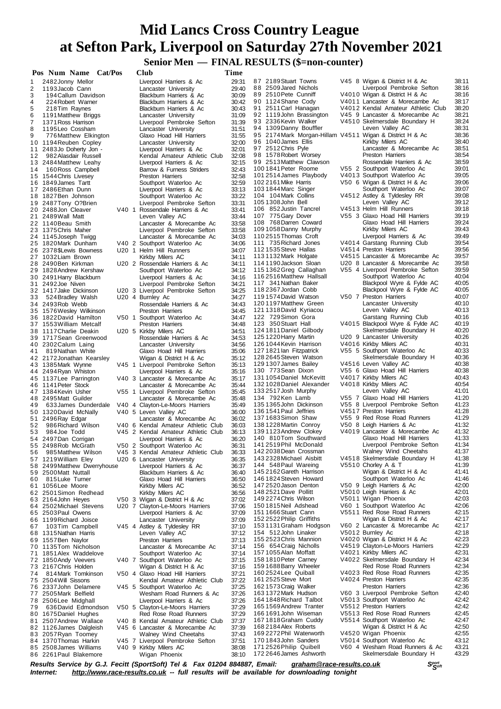**Senior Men — FINAL RESULTS (\$=non-counter)**

|          | Pos Num Name Cat/Pos                              |  | Club                                                                     | Time           |                                                                                    |                                                                  |                |
|----------|---------------------------------------------------|--|--------------------------------------------------------------------------|----------------|------------------------------------------------------------------------------------|------------------------------------------------------------------|----------------|
| 1        | 2482Jonny Mellor                                  |  | Liverpool Harriers & Ac                                                  | 29:31          | 87 2189 Stuart Towns                                                               | V45 8 Wigan & District H & Ac                                    | 38:11          |
| 2        | 1193 Jacob Cann                                   |  | Lancaster University                                                     | 29:40          | 88 2509 Jared Nichols                                                              | Liverpool Pembroke Sefton                                        | 38:16          |
| 3<br>4   | 194 Callum Davidson<br>224 Robert Warner          |  | Blackburn Harriers & Ac<br>Blackburn Harriers & Ac                       | 30:09<br>30:42 | 89 2510 Pete Cunniff<br>90 1124 Shane Cody                                         | V4010 Wigan & District H & Ac<br>V4011 Lancaster & Morecambe Ac  | 38:16<br>38:17 |
| 5        | 218 Tim Raynes                                    |  | Blackburn Harriers & Ac                                                  | 30:43          | 91 2511 Carl Hanagan                                                               | V4012 Kendal Amateur Athletic Club                               | 38:20          |
| 6        | 1191 Matthew Briggs                               |  | Lancaster University                                                     | 31:09          | 92 1119 John Brassington                                                           | V45 9 Lancaster & Morecambe Ac                                   | 38:21          |
| 7        | 1371 Ross Harrison                                |  | Liverpool Pembroke Sefton                                                | 31:39          | 93 2336 Kevin Walker                                                               | V4510 Skelmersdale Boundary H<br>Leven Valley AC                 | 38:24          |
| 8<br>9   | 1195 Leo Cossham<br>776 Matthew Elkington         |  | Lancaster University<br>Glaxo Hoad Hill Harriers                         | 31:51<br>31:55 | 94 1309 Danny Bouffler<br>95 2174 Mark Morgan-Hillam V4511 Wigan & District H & Ac |                                                                  | 38:31<br>38:36 |
|          | 10 1194 Reuben Copley                             |  | Lancaster University                                                     | 32:00          | 96 1040 James Ellis                                                                | Kirkby Milers AC                                                 | 38:40          |
|          | 11 2483Jo Doherty Jon -                           |  | Liverpool Harriers & Ac                                                  | 32:01          | 97 2512 Chris Pyle                                                                 | Lancaster & Morecambe Ac                                         | 38:51          |
| 12       | 982 Alasdair Russell                              |  | Kendal Amateur Athletic Club                                             | 32:08          | 98 1578 Robert Worsey                                                              | <b>Preston Harriers</b>                                          | 38:54          |
| 14       | 13 2484 Matthew Leahy<br>160 Ross Campbell        |  | Liverpool Harriers & Ac<br>Barrow & Furness Striders                     | 32:15<br>32:43 | 99 2513 Matthew Clawson<br>1001841 Peter Roome                                     | Rossendale Harriers & Ac<br>V55 2 Southport Waterloo Ac          | 38:59<br>39:01 |
|          | 15 1544 Chris Livesey                             |  | <b>Preston Harriers</b>                                                  | 32:58          | 1012514 James Playbody                                                             | V4013 Southport Waterloo Ac                                      | 39:05          |
|          | 16 1849 James Tartt                               |  | Southport Waterloo Ac                                                    | 32:59          | 102 2161 Mike Harris                                                               | V50 6 Wigan & District H & Ac                                    | 39:06          |
|          | 17 2486 Ethan Dunn                                |  | Liverpool Harriers & Ac                                                  | 33:13          | 103 1844 Marc Singer<br>104 104 Mark Collins                                       | Southport Waterloo Ac<br>V4512 Astley & Tyldesley RR             | 39:07<br>39:08 |
|          | 18 1827 Ben Johnson<br>19 2487 Tony O?Brien       |  | Southport Waterloo Ac<br>Liverpool Pembroke Sefton                       | 33:22<br>33:31 | 1051308John Bell                                                                   | Leven Valley AC                                                  | 39:12          |
|          | 20 2488Jon Cleaver                                |  | V40 1 Rossendale Harriers & Ac                                           | 33:41          | 106 852 Justin Tancrel                                                             | V4513 Helm Hill Runners                                          | 39:18          |
|          | 21 2489 Wall Matt                                 |  | Leven Valley AC                                                          | 33:44          | 107 775 Gary Dover                                                                 | V55 3 Glaxo Hoad Hill Harriers                                   | 39:19          |
|          | 22 1140 Beau Smith<br>23 1375 Chris Maher         |  | Lancaster & Morecambe Ac                                                 | 33:58<br>33:58 | 108 768 Darren Coward<br>109 1058 Danny Murphy                                     | Glaxo Hoad Hill Harriers<br>Kirkby Milers AC                     | 39:24<br>39:43 |
|          | 24 1145 Joseph Twigg                              |  | Liverpool Pembroke Sefton<br>Lancaster & Morecambe Ac                    | 34:03          | 1102515Thomas Croft                                                                | Liverpool Harriers & Ac                                          | 39:49          |
|          | 25 1820 Mark Dunham                               |  | V40 2 Southport Waterloo Ac                                              | 34:06          | 111 735 Richard Jones                                                              | V4014 Garstang Running Club                                      | 39:54          |
|          | 26 2378 \$Lewis Bowness                           |  | U20 1 Helm Hill Runners                                                  | 34:07          | 112 1535 Steve Hallas                                                              | V4514 Preston Harriers                                           | 39.56          |
|          | 27 1032 Liam Brown<br>28 2490 Ben Kirkman         |  | Kirkby Milers AC<br>U20 2 Rossendale Harriers & Ac                       | 34:11<br>34:11 | 1131132 Mark Holgate<br>1141190 Jackson Sloan                                      | V4515 Lancaster & Morecambe Ac<br>U20 8 Lancaster & Morecambe Ac | 39:57<br>39:58 |
|          | 29 1828 Andrew Kershaw                            |  | Southport Waterloo Ac                                                    | 34:12          | 1151362 Greg Callaghan                                                             | V55 4 Liverpool Pembroke Sefton                                  | 39:59          |
|          | 30 2491 Harry Blackburn                           |  | Liverpool Harriers & Ac                                                  | 34:16          | 1162516Matthew Hallsall                                                            | Southport Waterloo Ac                                            | 40:04          |
|          | 31 2492 Joe Niven                                 |  | Liverpool Pembroke Sefton                                                | 34:21          | 117 341 Nathan Baker                                                               | Blackpool Wyre & Fylde AC                                        | 40:05          |
| 33       | 32 1417 Jake Dickinson<br>524 Bradley Walsh       |  | U20 3 Liverpool Pembroke Sefton<br>U20 4 Burnley Ac                      | 34:25<br>34:27 | 118 2367 Jordan Cobb<br>1191574 David Watson                                       | Blackpool Wyre & Fylde AC<br>V50 7 Preston Harriers              | 40:05<br>40:07 |
|          | 34 2493 Rob Webb                                  |  | Rossendale Harriers & Ac                                                 | 34:43          | 1201197 Matthew Green                                                              | Lancaster University                                             | 40:10          |
|          | 35 1576 Wesley Wilkinson                          |  | <b>Preston Harriers</b>                                                  | 34:45          | 1211318 David Kyriacou                                                             | Leven Valley AC                                                  | 40:13          |
|          | 36 1822 David Hamilton                            |  | V50 1 Southport Waterloo Ac                                              | 34:47          | 122 729 Simon Gora                                                                 | Garstang Running Club                                            | 40:16          |
|          | 37 1553 William Metcalf<br>38 1117 Charlie Deakin |  | Preston Harriers<br>U20 5 Kirkby Milers AC                               | 34:48<br>34:51 | 123 350 Stuart Hall<br>124 1811 Daniel Gilbody                                     | V4015 Blackpool Wyre & Fylde AC<br>Skelmersdale Boundary H       | 40:19<br>40:20 |
|          | 39 1717 Sean Greenwood                            |  | Rossendale Harriers & Ac                                                 | 34:53          | 1251220 Harry Martin                                                               | U20 9 Lancaster University                                       | 40:26          |
|          | 40 2302 Calum Laing                               |  | Lancaster University                                                     | 34:56          | 1261044 Kevin Harrison                                                             | V4016 Kirkby Milers AC                                           | 40:31          |
| 41       | 819 Nathan White                                  |  | Glaxo Hoad Hill Harriers                                                 | 35:06          | 127 1821 Ian Fitzpatrick                                                           | V55 5 Southport Waterloo Ac                                      | 40:33          |
|          | 42 2172 Jonathan Kearsley<br>43 1385 Mark Wynne   |  | Wigan & District H & Ac<br>V45 1 Liverpool Pembroke Sefton               | 35:12<br>35:13 | 128 2645 Steven Watson<br>129 1307 James Bailey                                    | Skelmersdale Boundary H<br>V4516 Leven Valley AC                 | 40:36<br>40:38 |
|          | 44 2494 Ryan Whiston                              |  | Liverpool Harriers & Ac                                                  | 35:16          | 130 773 Sean Dixon                                                                 | V55 6 Glaxo Hoad Hill Harriers                                   | 40:38          |
|          | 45 1137 Lee Parrington                            |  | V40 3 Lancaster & Morecambe Ac                                           | 35:17          | 131 1054 Daniel McKevitt                                                           | V4017 Kirkby Milers AC                                           | 40:43          |
|          | 46 1141 Peter Stock                               |  | Lancaster & Morecambe Ac                                                 | 35:44          | 1321028Daniel Alexander<br>133 2517 Josh Murphy                                    | V4018 Kirkby Milers AC<br>Leven Valley AC                        | 40:54<br>41:01 |
|          | 47 1384 Kevin Usher<br>48 2495 Matt Guilder       |  | V55 1 Liverpool Pembroke Sefton<br>Lancaster & Morecambe Ac              | 35:45<br>35.48 | 134 792Ken Lamb                                                                    | V55 7 Glaxo Hoad Hill Harriers                                   | 41:20          |
| 49       | 633 James Dunderdale                              |  | V40 4 Clayton-Le-Moors Harriers                                          | 35:49          | 135 1365 John Dickinson                                                            | V55 8 Liverpool Pembroke Sefton                                  | 41:23          |
|          | 50 1320 David McNally                             |  | V40 5 Leven Valley AC                                                    | 36:00          | 136 1541 Paul Jeffries                                                             | V4517 Preston Harriers                                           | 41:28          |
|          | 51 2496 Ray Edgar                                 |  | Lancaster & Morecambe Ac                                                 | 36:02          | 1371683Simon Shaw<br>1381228 Martin Conroy                                         | V55 9 Red Rose Road Runners<br>V50 8 Leigh Harriers & Ac         | 41:29<br>41:32 |
| 52<br>53 | 986 Richard Wilson<br>984 Joe Todd                |  | V40 6 Kendal Amateur Athletic Club<br>V45 2 Kendal Amateur Athletic Club | 36:03<br>36:13 | 1391123 Andrew Clokey                                                              | V4019 Lancaster & Morecambe Ac                                   | 41:32          |
|          | 54 2497Dan Corrigan                               |  | Liverpool Harriers & Ac                                                  | 36:20          | 140 810Tom Southward                                                               | Glaxo Hoad Hill Harriers                                         | 41:33          |
|          | 55 2498 Rob McGrath                               |  | V50 2 Southport Waterloo Ac                                              | 36:31          | 141 2519 Phil McDonald                                                             | Liverpool Pembroke Sefton                                        | 41:34          |
| 56       | 985 Matthew Wilson<br>57 1219 William Eley        |  | V45 3 Kendal Amateur Athletic Club<br>U20 6 Lancaster University         | 36:33          | 142 2038 Dean Crossman<br>143 2328 Michael Aisbitt                                 | Walney Wind Cheetahs<br>V4518 Skelmersdale Boundary H            | 41:37<br>41:38 |
|          | 58 2499 Matthew Dwerryhouse                       |  | Liverpool Harriers & Ac                                                  | 36:35<br>36:37 | 144 548 Paul Wareing                                                               | V5510 Chorley A & T                                              | 41:39          |
|          | 59 2500 Matt Nuttall                              |  | Blackburn Harriers & Ac                                                  | 36:40          | 145 2162 Gareth Harrison                                                           | Wigan & District H & Ac                                          | 41:41          |
| 60       | 815 Luke Turner                                   |  | Glaxo Hoad Hill Harriers                                                 | 36:50          | 146 1824 Steven Howard                                                             | Southport Waterloo Ac                                            | 41:46          |
|          | 61 1056 Lee Moore<br>62 2501 Simon Redhead        |  | Kirkby Milers AC<br>Kirkby Milers AC                                     | 36:52<br>36:56 | 147 2520 Jason Denton<br>148 2521 Dave Pollitt                                     | V50 9 Leigh Harriers & Ac<br>V5010 Leigh Harriers & Ac           | 42:00<br>42:01 |
|          | 63 2164 John Heyes                                |  | V50 3 Wigan & District H & Ac                                            | 37:02          | 149 2274 Chris Wilson                                                              | V5011 Wigan Phoenix                                              | 42:03          |
|          | 64 2502 Michael Stevens                           |  | U20 7 Clayton-Le-Moors Harriers                                          | 37:06          | 1501815Neil Adshead                                                                | V60 1 Southport Waterloo Ac                                      | 42:06          |
|          | 65 2503 Paul Owens                                |  | Liverpool Harriers & Ac                                                  | 37:09          | 1511666Stuart Cann                                                                 | V5511 Red Rose Road Runners                                      | 42:15          |
| 67       | 66 1199 Richard Joisce<br>103Tim Campbell         |  | Lancaster University<br>V45 4 Astley & Tyldesley RR                      | 37:09<br>37:10 | 152 2522 Philip Griffiths<br>153 1131 Graham Hodgson                               | Wigan & District H & Ac<br>V60 2 Lancaster & Morecambe Ac        | 42:17<br>42:17 |
|          | 68 1315 Nathan Harris                             |  | Leven Valley AC                                                          | 37:12          | 154 512 John Linaker                                                               | V5012 Burnley Ac                                                 | 42:18          |
|          | 69 1557 Ben Naylor                                |  | Preston Harriers                                                         | 37:13          | 155 2523 Chris Mannion                                                             | V4020 Wigan & District H & Ac                                    | 42:23          |
|          | 70 1135 Tom Nicholson                             |  | Lancaster & Morecambe Ac                                                 | 37:14          | 156 654 Craig Nicholls                                                             | V4519 Clayton-Le-Moors Harriers                                  | 42:29          |
|          | 71 1851 Alex Waddelove<br>72 1850 Andy Veevers    |  | Southport Waterloo Ac<br>V40 7 Southport Waterloo Ac                     | 37:14<br>37:15 | 1571055Alan Moffatt<br>158 1810 Peter Carney                                       | V4021 Kirkby Milers AC<br>V4022 Skelmersdale Boundary H          | 42:31<br>42:34 |
|          | 73 2167 Chris Holden                              |  | Wigan & District H & Ac                                                  | 37:16          | 1591688 Barry Wheeler                                                              | Red Rose Road Runners                                            | 42:34          |
| 74       | 814 Mark Tomkinson                                |  | V50 4 Glaxo Hoad Hill Harriers                                           | 37:21          | 1602524 Lee Quiball                                                                | V4023 Red Rose Road Runners                                      | 42:35          |
|          | 75 2504 Will Sissons                              |  | Kendal Amateur Athletic Club                                             | 37:22          | 161 2525 Steve Mort                                                                | V4024 Preston Harriers<br>Preston Harriers                       | 42:35<br>42:36 |
|          | 76 2337 John Delamere<br>77 2505 Mark Belfield    |  | V45 5 Southport Waterloo Ac<br>Wesham Road Runners & Ac                  | 37:25<br>37:26 | 1621573 Craig Walker<br>1631372 Mark Hudson                                        | V60 3 Liverpool Pembroke Sefton                                  | 42:40          |
|          | 78 2506 Lee Midghall                              |  | Liverpool Harriers & Ac                                                  | 37:26          | 164 1848 Richard Talbot                                                            | V5013 Southport Waterloo Ac                                      | 42:42          |
| 79       | 636 David Edmondson                               |  | V50 5 Clayton-Le-Moors Harriers                                          | 37:29          | 1651569 Andrew Tranter                                                             | V5512 Preston Harriers                                           | 42:42          |
|          | 80 1675 Daniel Hughes                             |  | Red Rose Road Runners                                                    | 37:29          | 1661691John Wiseman<br>1671818 Graham Cuddy                                        | V5513 Red Rose Road Runners<br>V5514 Southport Waterloo Ac       | 42:45<br>42:47 |
|          | 81 2507 Andrew Wallace<br>82 1126 James Dalgleish |  | V40 8 Kendal Amateur Athletic Club<br>V45 6 Lancaster & Morecambe Ac     | 37:37<br>37:39 | 168 2184 Alex Roberts                                                              | Wigan & District H & Ac                                          | 42:50          |
|          | 83 2057 Ryan Toomey                               |  | Walney Wind Cheetahs                                                     | 37:43          | 169 2272 Phil Waterworth                                                           | V4520 Wigan Phoenix                                              | 42:55          |
|          | 84 1370 Thomas Harkin                             |  | V45 7 Liverpool Pembroke Sefton                                          | 37:51          | 170 1843 John Sanders                                                              | V5014 Southport Waterloo Ac                                      | 43:12          |
|          | 85 2508 James Williams<br>86 2261 Paul Blakemore  |  | V40 9 Kirkby Milers AC<br>Wigan Phoenix                                  | 38:08<br>38:10 | 171 2526 Philip Quibell<br>172 2646 James Ashworth                                 | V60 4 Wesham Road Runners & Ac<br>Skelmersdale Boundary H        | 43:21<br>43:29 |
|          |                                                   |  |                                                                          |                |                                                                                    |                                                                  |                |

Results Service by G.J. Fecitt (SportSoft) Tel & Fax 01204 884887, Email: <u>[graham@race-results.co.uk](mailto:graham@race-results.co.uk)</u> S<sup>oon</sup><br>Internet: <u><http://www.race-results.co.uk></u> -- full results will be available for downloading tonight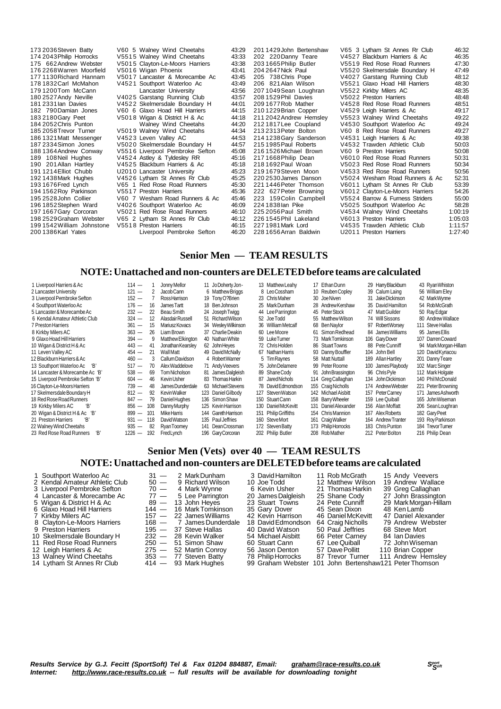173 2036Steven Batty V60 5 Walney Wind Cheetahs 43:29 174 2043Philip Horrocks V551 5 Walney Wind Cheetahs 43:33 175 662Andrew Webster V501 5 Clayton-Le-Moors Harriers 43:38 176 2268 Warren Moorfield V5016 Wigan Phoenix 43:41<br>177 1130 Richard Hannam V5017 Lancaster & Morecambe Ac 43:45 177 1130 Richard Hannam V5017 Lancaster & Morecambe Ac 43:45<br>178 1832 Carl McMahon V4521 Southport Waterloo Ac 43:49 179 1200Tom McCann Lancaster University 43:56<br>180 2527 Andy Neville V40 25 Garstang Running Club 43:57 180 2527 Andy Neville V40 25 Garstang Running Club 43:57<br>181 2331 Ian Davies V45 22 Skelmersdale Boundary H 44:01 181 2331 Ian Davies V4522 Skelmersdale Boundary H 44:01<br>182 790 Damian Jones V60 6 Glaxo Hoad Hill Harriers 44:15 182 790 Damian Jones V60 6 Glaxo Hoad Hill Harriers 44:15<br>183 2180 Gary Peet V5018 Wigan & District H & Ac 44:18 183 2180 Gary Peet V5018 Wigan & District H & Ac 44:18<br>184 2052 Chris Punton Walney Wind Cheetahs 44:20 184 2052Chris Punton Walney Wind Cheetahs 44:20 185 2058Trevor Turner V501 9 Walney Wind Cheetahs 44:34 186 1321 Matt Messenger V4523 Leven Valley AC 44:53<br>187 2334 Simon Jones V5020 Skelmersdale Boundary H 44:57 188 1364Andrew Conway V551 6 Liverpool Pembroke Sefton 45:08 189 108Neil Hughes V452 4 Astley & Tyldesley RR 45:16 190 201Allan Hartley V452 5 Blackburn Harriers & Ac 45:18 191 1214 Elliot Chubb U2010 Lancaster University 45:23<br>192 1438 Mark Hughes V4526 Lytham St Annes Rr Club 45:25 192 1438 Mark Hughes V4526 Lytham St Annes Rr Club 45:25<br>193 1676 Fred Lynch V65 1 Red Rose Road Runners 45:30 193 1676Fred Lynch V65 1 Red Rose Road Runners 45:30 194 1562Roy Parkinson V551 7 Preston Harriers 45:36 195 2528John Collier V60 7 Wesham Road Runners & Ac 45:46 196 1852 Stephen Ward V4026 Southport Waterloo Ac 46:09<br>197 1667 Gary Corcoran V5021 Red Rose Road Runners 46:10 V5021 Red Rose Road Runners 198 2529Graham Webster V65 2 Lytham St Annes Rr Club 46:12 199 1542 William Johnstone V551 8 Preston Harriers 46:15<br>200 1386 Karl Yates Liverpool Pembroke Sefton 46:20 Liverpool Pembroke Sefton 201 1429John Bertenshaw V65 3 Lytham St Annes Rr Club 46:32 202 220 V4527 Blackburn Harriers & Ac 46:35<br>2021 12:30 V5519 Red Road Runners 47:30 203 1665 Philip Butler V551 9 Red Rose Road Runners 47:30<br>204 264 7 Nick Paul V552 0 Skelmersdale Boundary H 47:49 204 2647 Nick Paul V5520 Skelmersdale Boundary H 47:49<br>205 738 Chris Pope V4027 Garstang Running Club 48:12<br>206 821 Alan Wilson V5521 Glaxo Hoad Hill Harriers 48:30 205 738Chris Pope V402 7 Garstang Running Club 48:12 206 821Alan Wilson V552 1 Glaxo Hoad Hill Harriers 48:30 207 1049Sean Loughran V552 2 Kirkby Milers AC 48:35 208 1529Phil Davies V502 2 Preston Harriers 48:48 209 1677 Rob Mather V4528 Red Rose Road Runners 48:51<br>210 1229 Brian Copper V4529 Leigh Harriers & Ac 49:17 210 1229 Brian Copper V4529 Leigh Harriers & Ac 49:17<br>211 2042 Andrew Hemsley V5523 Walney Wind Cheetahs 49:22 211 2042 Andrew Hemsley V5523 Walney Wind Cheetahs 49:22<br>212 1817 Lee Coupland V4530 Southport Waterloo Ac 49:24 V4530 Southport Waterloo Ac 213 2313Peter Bolton V60 8 Red Rose Road Runners 49:27 214 1238Gary Sanderson V453 1 Leigh Harriers & Ac 49:38 V4532 Trawden Athletic Club 50:03<br>V60 9 Preston Harriers 50:08 216 1526 Michael Brown<br>217 1668 Philip Dean<br>218 1692 Paul Woan V6010 Red Rose Road Runners 50:31<br>V5023 Red Rose Road Runners 50:34 218 1692Paul Woan V502 3 Red Rose Road Runners 50:34 219 1679 Steven Moon V4533 Red Rose Road Runners 3<br>220 2530 James Danson V5024 Wesham Road Runners 8 220 2530James Danson V502 4 Wesham Road Runners & Ac 52:31 221 1446 Peter Thomson V6011 Lytham St Annes Rr Club 53:39<br>222 627 Peter Browning V6012 Clayton-Le-Moors Harriers 54:26 222 627 Peter Browning V6012 Clayton-Le-Moors Harriers 54:26<br>223 159 Colin Campbell V5524 Barrow & Furness Striders 55:00 223 159Colin Campbell V552 4 Barrow & Furness Striders 55:00 224 1838 Ian Pike V5025 Southport Waterloo Ac 58:28<br>225 2056 Paul Smith V4534 Walney Wind Cheetahs 1:00:19 225 2056 Paul Smith V4534 Walney Wind Cheetahs<br>226 1545 Phil Lakeland V6013 Preston Harriers 226 1545Phil Lakeland V601 3 Preston Harriers 1:05:03 227 1981 Mark Lord V4535 Trawden Athletic Club 1:11:57<br>228 1656 Arran Baldwin U2011 Preston Harriers 1:27:40 U2011 Preston Harriers

## **Senior Men — TEAM RESULTS**

#### **NOTE:Unattached and non-counters are DELETEDbefore teams are calculated**

| 1 Liverpool Harriers & Ac        | $114 -$ |     | Jonny Mellor      | 11 JoDohertyJon-    |     | 13 Matthew Leahv     | 17 Ethan Dunn        | 29 Harry Blackburn | 43 Ryan Whiston       |
|----------------------------------|---------|-----|-------------------|---------------------|-----|----------------------|----------------------|--------------------|-----------------------|
| 2 Lancaster University           | $121 -$ | 2   | Jacob Cann        | 6 Matthew Briggs    |     | 8 LeoCossham         | 10 Reuben Copley     | 39 Calum Laing     | 56 William Eley       |
| 3 Liverpool Pembroke Sefton      | $152 -$ |     | Ross Harrison     | 19 Tony O?Brien     |     | 23 Chris Maher       | 30 Joe Niven         | 31 Jake Dickinson  | 42 MarkWynne          |
| 4 Southport Waterloo Ac          | $176 -$ | 16  | James Tartt       | 18 BenJohnson       |     | 25 Mark Dunham       | 28 Andrew Kershaw    | 35 David Hamilton  | 54 RobMcGrath         |
| 5 Lancaster & Morecambe Ac       | $232 -$ | 22  | Beau Smith        | 24 Joseph Twigg     |     | 44 Lee Parrington    | 45 Peter Stock       | 47 Matt Guilder    | 50 Ray Edgar          |
| 6 Kendal Amateur Athletic Club   | $324 -$ | 12  | Alasdair Russell  | 51 Richard Wilson   |     | 52 Joe Todd          | 55 Matthew Wilson    | 74 Will Sissons    | 80 Andrew Wallace     |
| 7 Preston Harriers               | $361 -$ | 15  | Mariusz Kovacs    | 34 Wesley Wilkinson |     | 36 William Metcalf   | 68 BenNaylor         | 97 Robert Worsey   | 111 Steve Hallas      |
| 8 Kirkby Milers AC               | $363 -$ | 26  | Liam Brown        | 37 Charlie Deakin   |     | 60 Lee Moore         | 61 Simon Redhead     | 84 James Williams  | 95 James Ellis        |
| 9 Glaxo Hoad Hill Harriers       | $394 -$ | 9   | Matthew Elkington | 40 Nathan White     |     | 59 LukeTurner        | 73 MarkTomkinson     | 106 Gary Dover     | 107 Darren Coward     |
| 10 Wigan & District H & Ac       | $443 -$ | 41  | Jonathan Kearsley | 62 John Heyes       |     | 72 Chris Holden      | 86 Stuart Towns      | 88 Pete Cunniff    | 94 Mark Morgan-Hillam |
| 11 Leven Valley AC               | $454 -$ | 21  | Wall Matt         | 49 David McNally    |     | 67 Nathan Harris     | 93 Danny Bouffler    | 104 John Bell      | 120 David Kyriacou    |
| 12 Blackburn Harriers & Ac       | $460 -$ | 3   | Callum Davidson   | 4 Robert Warner     |     | 5 Tim Raynes         | 58 Matt Nuttall      | 189 Allan Hartley  | 201 Danny Teare       |
| 13 Southport Waterloo Ac<br>'В'  | $517 -$ | 70  | Alex Waddelove    | 71 Andy Veevers     |     | 75 John Delamere     | 99 Peter Roome       | 100 James Playbody | 102 Marc Singer       |
| 14 Lancaster & Morecambe Ac 'B'  | $538 -$ | 69  | Tom Nicholson     | 81 James Dalgleish  |     | 89 Shane Cody        | 91 John Brassington  | 96 Chris Pyle      | 112 Mark Holgate      |
| 15 Liverpool Pembroke Sefton 'B' | $604 -$ | 46  | Kevin Usher       | 83 Thomas Harkin    |     | 87 Jared Nichols     | 114 Greg Callaghan   | 134 John Dickinson | 140 Phil McDonald     |
| 16 Clayton-Le-Moors Harriers     | $739 -$ | 48  | James Dunderdale  | 63 Michael Stevens  |     | 78 David Edmondson   | 155 CraigNicholls    | 174 Andrew Webster | 221 Peter Browning    |
| 17 Skelmersdale Boundary H       | $812 -$ | 92  | Kevin Walker      | 123 Daniel Gilbody  |     | 127 StevenWatson     | 142 Michael Aisbitt  | 157 PeterCarney    | 171 James Ashworth    |
| 18 Red Rose Road Runners         | $847 -$ | 79  | Daniel Hughes     | 136 Simon Shaw      | 150 | Stuart Cann          | 158 Barry Wheeler    | 159 Lee Quiball    | 165 John Wiseman      |
| Έ,<br>19 Kirkby Milers AC        | $856 -$ | 108 | Danny Murphy      | 125 Kevin Harrison  |     | 130 Daniel McKevitt  | 131 Daniel Alexander | 156 Alan Moffatt   | 206 Sean Loughran     |
| 20 Wigan & District H & Ac 'B'   | $899 -$ | 101 | Mike Harris       | 144 Gareth Harrison |     | 151 Philip Griffiths | 154 Chris Mannion    | 167 Alex Roberts   | 182 Gary Peet         |
| 21 Preston Harriers<br>Έ,        | $931 -$ | 118 | David Watson      | 135 Paul Jeffries   |     | 160 SteveMort        | 161 Craig Walker     | 164 Andrew Tranter | 193 Roy Parkinson     |
| 22 Walney Wind Cheetahs          | $935 -$ | 82  | Rvan Toomev       | 141 Dean Crossman   |     | 172 Steven Batty     | 173 Philip Horrocks  | 183 Chris Punton   | 184 TrevorTumer       |
| 23 Red Rose Road Runners<br>'В'  | 1226 —  | 192 | Fred Lynch        | 196 Gary Corcoran   |     | 202 Philip Butler    | 208 RobMather        | 212 Peter Bolton   | 216 Philip Dean       |

## **Senior Men (Vets) over 40 — TEAM RESULTS NOTE:Unattached and non-counters are DELETEDbefore teams are calculated**

- 1 Southport Waterloo Ac  $31 2$  MarkDunham 3 David Hamilton 11 Rob McGrath 15 Andy Veevers<br>2 Kendal Amateur Athletic Club 50 9 Richard Wilson 10 Joe Todd 12 Matthew Wilson 19 Andrew Wallace 2 Kendal Amateur Athletic Club  $\begin{array}{r} 50 - 9 \text{ Richard Wilson} \\ 3 \text{ Liverpool Pembro} \\ 4 \text{ Mark Wynne} \\ 6 \text{ Kevin Usher} \\ 21 \text{ Thomas Harkin} \\ 39 \text{ Greg Callaghan} \\ \end{array}$  Wallace 3 Liverpool Pembroke Sefton 70 - 4 Mark Wynne 6 Kevin Usher 21 Thomas Harkin 39 Greg Callaghan<br>4 Lancaster & Morecambe Ac 77 - 5 Lee Parrington 20 James Dalgleish 25 Shane Cody 27 John Brassington 4 Lancaster & Morecambe Ac 77 - 5 Lee Parrington 20 James Dalgleish 25 Shane Cody 27 John Brassington 37 - 5 Lee Parrington 20 James Dalgleish 25 Shane Cody 27 John Brassington 37 - 3 John Heyes 23 Stuart Towns 24 Pete Cun 5 Wigan & District H & Ac 89 — 13 John Heyes 23 Stuart Towns 24 Pete Cunniff 29 Mark Morg<br>6 Glaxo Hoad Hill Harriers 144 — 16 Mark Tomkinson 35 Gary Dover 45 Sean Dixon 48 Ken Lamb 6 Glaxo Hoad Hill Harriers 144 — 16 Mark Tomkinson 35 Gary Dover 45 Sean Dixon<br>Kirkby Milers AC 157 — 22 James Williams 42 Kevin Harrison 46 Daniel McKevitt 7 Kirkby Milers AC 157 — 22 JamesWilliams 42 Kevin Harrison 46 DanielMcKevitt 47 Daniel Alexander 8 Clayton-Le-Moors Harriers 168 - 7 James Dunderdale 18 David Edmondson 64 Craig Nicholls 79 Andrew W<br>9 Preston Harriers 195 - 37 Steve Hallas 40 David Watson 50 Paul Jeffries 68 Steve Mort Preston Harriers 195 — 37 Steve Hallas 40 David Watson 50 Paul Jeffries 68 Steve Mort<br>Skelmersdale Boundary H 232 — 28 Kevin Walker 54 Michael Aisbitt 66 Peter Carney 84 Ian Davies 10 Skelmersdale Boundary H 232 - 28 Kevin Walker 54 Michael Aisbitt 66 Peter Carney 84 Ian Davies<br>11 Red Rose Road Runners 250 - 51 Simon Shaw 60 Stuart Cann 67 Lee Quiball 72 John Wiseman<br>12 Leigh Harriers & Ac 275 - 52 M 11 Red Rose Road Runners 250 — 51 Simon Shaw 60 Stuart Cann 67 Lee Quiball Report Cann 67 Lee Quiball 72 John Stuart Termann Stuart Report Termann 67 Dave Pollitt 12 Leigh Harriers & Ac **275 — 52 Martin Conroy** 56 Jason Denton 57 Dave Pollitt 110 Brian Copper<br>13 Walnev Wind Cheetahs 353 — 77 Steven Batty 78 Philip Horrocks 87 Trevor Turner 111 Andrew Hemsley 13 Walney Wind Cheetahs 353 — 77 Steven Batty<br>14 Lytham St Annes Rr Club 714 — 93 Mark Hughes
- 
- 

- 
- - -
		-
- 14 Graham Webster 101 John Bertenshaw121 Peter Thomson